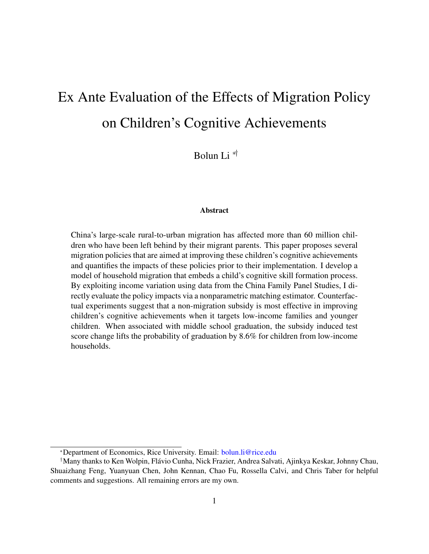# Ex Ante Evaluation of the Effects of Migration Policy on Children's Cognitive Achievements

Bolun Li ∗†

#### Abstract

China's large-scale rural-to-urban migration has affected more than 60 million children who have been left behind by their migrant parents. This paper proposes several migration policies that are aimed at improving these children's cognitive achievements and quantifies the impacts of these policies prior to their implementation. I develop a model of household migration that embeds a child's cognitive skill formation process. By exploiting income variation using data from the China Family Panel Studies, I directly evaluate the policy impacts via a nonparametric matching estimator. Counterfactual experiments suggest that a non-migration subsidy is most effective in improving children's cognitive achievements when it targets low-income families and younger children. When associated with middle school graduation, the subsidy induced test score change lifts the probability of graduation by 8.6% for children from low-income households.

<sup>∗</sup>Department of Economics, Rice University. Email: [bolun.li@rice.edu](mailto:bolun.li@rice.edu)

<sup>&</sup>lt;sup>†</sup>Many thanks to Ken Wolpin, Flávio Cunha, Nick Frazier, Andrea Salvati, Ajinkya Keskar, Johnny Chau, Shuaizhang Feng, Yuanyuan Chen, John Kennan, Chao Fu, Rossella Calvi, and Chris Taber for helpful comments and suggestions. All remaining errors are my own.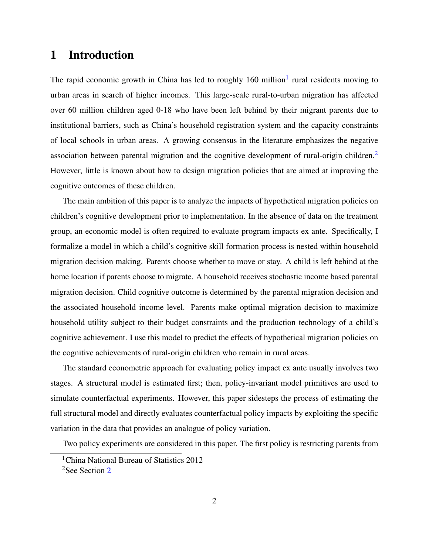# <span id="page-1-2"></span>1 Introduction

The rapid economic growth in China has led to roughly [1](#page-1-0)60 million<sup>1</sup> rural residents moving to urban areas in search of higher incomes. This large-scale rural-to-urban migration has affected over 60 million children aged 0-18 who have been left behind by their migrant parents due to institutional barriers, such as China's household registration system and the capacity constraints of local schools in urban areas. A growing consensus in the literature emphasizes the negative association between parental migration and the cognitive development of rural-origin children.<sup>[2](#page-1-1)</sup> However, little is known about how to design migration policies that are aimed at improving the cognitive outcomes of these children.

The main ambition of this paper is to analyze the impacts of hypothetical migration policies on children's cognitive development prior to implementation. In the absence of data on the treatment group, an economic model is often required to evaluate program impacts ex ante. Specifically, I formalize a model in which a child's cognitive skill formation process is nested within household migration decision making. Parents choose whether to move or stay. A child is left behind at the home location if parents choose to migrate. A household receives stochastic income based parental migration decision. Child cognitive outcome is determined by the parental migration decision and the associated household income level. Parents make optimal migration decision to maximize household utility subject to their budget constraints and the production technology of a child's cognitive achievement. I use this model to predict the effects of hypothetical migration policies on the cognitive achievements of rural-origin children who remain in rural areas.

The standard econometric approach for evaluating policy impact ex ante usually involves two stages. A structural model is estimated first; then, policy-invariant model primitives are used to simulate counterfactual experiments. However, this paper sidesteps the process of estimating the full structural model and directly evaluates counterfactual policy impacts by exploiting the specific variation in the data that provides an analogue of policy variation.

Two policy experiments are considered in this paper. The first policy is restricting parents from

<span id="page-1-0"></span><sup>&</sup>lt;sup>1</sup>China National Bureau of Statistics 2012

<span id="page-1-1"></span><sup>&</sup>lt;sup>[2](#page-3-0)</sup>See Section 2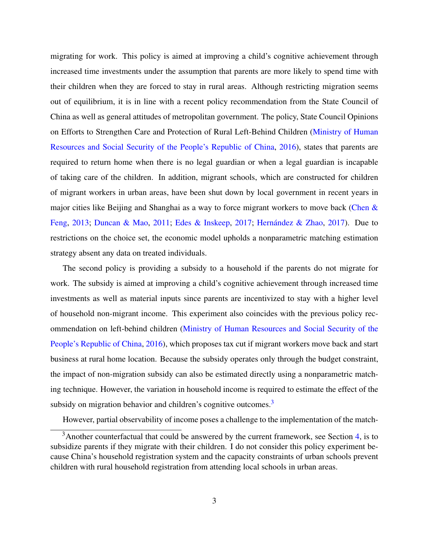migrating for work. This policy is aimed at improving a child's cognitive achievement through increased time investments under the assumption that parents are more likely to spend time with their children when they are forced to stay in rural areas. Although restricting migration seems out of equilibrium, it is in line with a recent policy recommendation from the State Council of China as well as general attitudes of metropolitan government. The policy, State Council Opinions on Efforts to Strengthen Care and Protection of Rural Left-Behind Children [\(Ministry of Human](#page-28-0) [Resources and Social Security of the People's Republic of China,](#page-28-0) [2016\)](#page-28-0), states that parents are required to return home when there is no legal guardian or when a legal guardian is incapable of taking care of the children. In addition, migrant schools, which are constructed for children of migrant workers in urban areas, have been shut down by local government in recent years in major cities like Beijing and Shanghai as a way to force migrant workers to move back (Chen  $\&$ [Feng,](#page-27-0) [2013;](#page-27-0) [Duncan & Mao,](#page-27-1) [2011;](#page-27-1) [Edes & Inskeep,](#page-27-2) [2017;](#page-27-2) Hernández & Zhao, [2017\)](#page-28-1). Due to restrictions on the choice set, the economic model upholds a nonparametric matching estimation strategy absent any data on treated individuals.

The second policy is providing a subsidy to a household if the parents do not migrate for work. The subsidy is aimed at improving a child's cognitive achievement through increased time investments as well as material inputs since parents are incentivized to stay with a higher level of household non-migrant income. This experiment also coincides with the previous policy recommendation on left-behind children [\(Ministry of Human Resources and Social Security of the](#page-28-0) [People's Republic of China,](#page-28-0) [2016\)](#page-28-0), which proposes tax cut if migrant workers move back and start business at rural home location. Because the subsidy operates only through the budget constraint, the impact of non-migration subsidy can also be estimated directly using a nonparametric matching technique. However, the variation in household income is required to estimate the effect of the subsidy on migration behavior and children's cognitive outcomes.<sup>[3](#page-2-0)</sup>

<span id="page-2-0"></span>However, partial observability of income poses a challenge to the implementation of the match-

 $3$ Another counterfactual that could be answered by the current framework, see Section [4,](#page-7-0) is to subsidize parents if they migrate with their children. I do not consider this policy experiment because China's household registration system and the capacity constraints of urban schools prevent children with rural household registration from attending local schools in urban areas.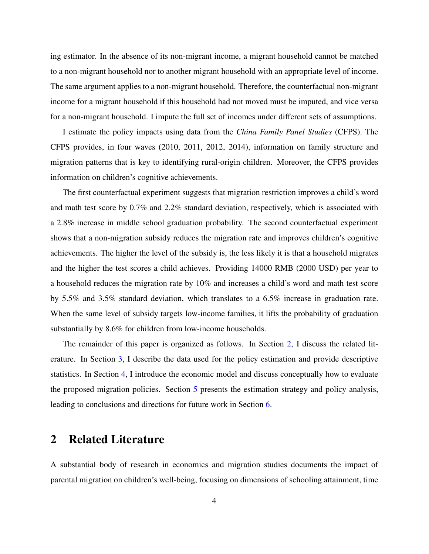ing estimator. In the absence of its non-migrant income, a migrant household cannot be matched to a non-migrant household nor to another migrant household with an appropriate level of income. The same argument applies to a non-migrant household. Therefore, the counterfactual non-migrant income for a migrant household if this household had not moved must be imputed, and vice versa for a non-migrant household. I impute the full set of incomes under different sets of assumptions.

I estimate the policy impacts using data from the *China Family Panel Studies* (CFPS). The CFPS provides, in four waves (2010, 2011, 2012, 2014), information on family structure and migration patterns that is key to identifying rural-origin children. Moreover, the CFPS provides information on children's cognitive achievements.

The first counterfactual experiment suggests that migration restriction improves a child's word and math test score by 0.7% and 2.2% standard deviation, respectively, which is associated with a 2.8% increase in middle school graduation probability. The second counterfactual experiment shows that a non-migration subsidy reduces the migration rate and improves children's cognitive achievements. The higher the level of the subsidy is, the less likely it is that a household migrates and the higher the test scores a child achieves. Providing 14000 RMB (2000 USD) per year to a household reduces the migration rate by 10% and increases a child's word and math test score by 5.5% and 3.5% standard deviation, which translates to a 6.5% increase in graduation rate. When the same level of subsidy targets low-income families, it lifts the probability of graduation substantially by 8.6% for children from low-income households.

The remainder of this paper is organized as follows. In Section [2,](#page-3-0) I discuss the related literature. In Section [3,](#page-5-0) I describe the data used for the policy estimation and provide descriptive statistics. In Section [4,](#page-7-0) I introduce the economic model and discuss conceptually how to evaluate the proposed migration policies. Section [5](#page-12-0) presents the estimation strategy and policy analysis, leading to conclusions and directions for future work in Section [6.](#page-25-0)

# <span id="page-3-0"></span>2 Related Literature

A substantial body of research in economics and migration studies documents the impact of parental migration on children's well-being, focusing on dimensions of schooling attainment, time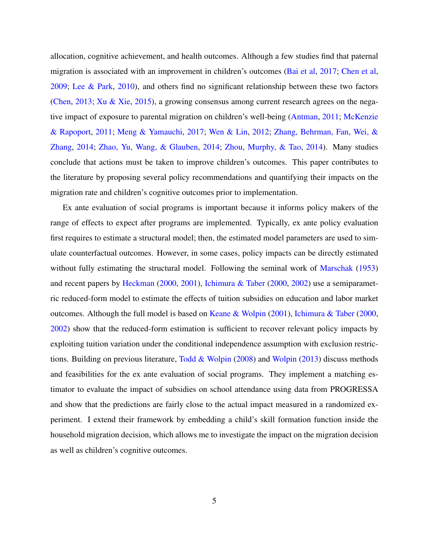allocation, cognitive achievement, and health outcomes. Although a few studies find that paternal migration is associated with an improvement in children's outcomes [\(Bai et al,](#page-27-3) [2017;](#page-27-3) [Chen et al,](#page-27-4) [2009;](#page-27-4) [Lee & Park,](#page-28-2) [2010\)](#page-28-2), and others find no significant relationship between these two factors [\(Chen,](#page-27-5) [2013;](#page-27-5) [Xu & Xie,](#page-29-0) [2015\)](#page-29-0), a growing consensus among current research agrees on the negative impact of exposure to parental migration on children's well-being [\(Antman,](#page-27-6) [2011;](#page-27-6) [McKenzie](#page-28-3) [& Rapoport,](#page-28-3) [2011;](#page-28-3) [Meng & Yamauchi,](#page-28-4) [2017;](#page-28-4) [Wen & Lin,](#page-29-1) [2012;](#page-29-1) [Zhang, Behrman, Fan, Wei, &](#page-29-2) [Zhang,](#page-29-2) [2014;](#page-29-2) [Zhao, Yu, Wang, & Glauben,](#page-29-3) [2014;](#page-29-3) [Zhou, Murphy, & Tao,](#page-29-4) [2014\)](#page-29-4). Many studies conclude that actions must be taken to improve children's outcomes. This paper contributes to the literature by proposing several policy recommendations and quantifying their impacts on the migration rate and children's cognitive outcomes prior to implementation.

Ex ante evaluation of social programs is important because it informs policy makers of the range of effects to expect after programs are implemented. Typically, ex ante policy evaluation first requires to estimate a structural model; then, the estimated model parameters are used to simulate counterfactual outcomes. However, in some cases, policy impacts can be directly estimated without fully estimating the structural model. Following the seminal work of [Marschak](#page-28-5) [\(1953\)](#page-28-5) and recent papers by [Heckman](#page-28-6) [\(2000,](#page-28-6) [2001\)](#page-28-7), [Ichimura & Taber](#page-28-8) [\(2000,](#page-28-8) [2002\)](#page-28-9) use a semiparametric reduced-form model to estimate the effects of tuition subsidies on education and labor market outcomes. Although the full model is based on [Keane & Wolpin](#page-28-10) [\(2001\)](#page-28-10), [Ichimura & Taber](#page-28-8) [\(2000,](#page-28-8) [2002\)](#page-28-9) show that the reduced-form estimation is sufficient to recover relevant policy impacts by exploiting tuition variation under the conditional independence assumption with exclusion restrictions. Building on previous literature, [Todd & Wolpin](#page-29-5) [\(2008\)](#page-29-5) and [Wolpin](#page-29-6) [\(2013\)](#page-29-6) discuss methods and feasibilities for the ex ante evaluation of social programs. They implement a matching estimator to evaluate the impact of subsidies on school attendance using data from PROGRESSA and show that the predictions are fairly close to the actual impact measured in a randomized experiment. I extend their framework by embedding a child's skill formation function inside the household migration decision, which allows me to investigate the impact on the migration decision as well as children's cognitive outcomes.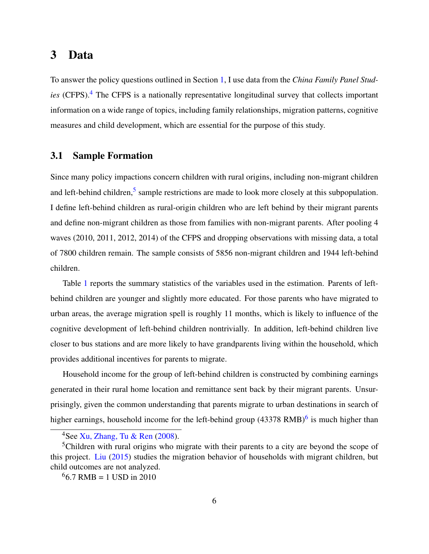# <span id="page-5-0"></span>3 Data

To answer the policy questions outlined in Section [1,](#page-1-2) I use data from the *China Family Panel Studies* (CFPS).<sup>[4](#page-5-1)</sup> The CFPS is a nationally representative longitudinal survey that collects important information on a wide range of topics, including family relationships, migration patterns, cognitive measures and child development, which are essential for the purpose of this study.

### 3.1 Sample Formation

Since many policy impactions concern children with rural origins, including non-migrant children and left-behind children,<sup>[5](#page-5-2)</sup> sample restrictions are made to look more closely at this subpopulation. I define left-behind children as rural-origin children who are left behind by their migrant parents and define non-migrant children as those from families with non-migrant parents. After pooling 4 waves (2010, 2011, 2012, 2014) of the CFPS and dropping observations with missing data, a total of 7800 children remain. The sample consists of 5856 non-migrant children and 1944 left-behind children.

Table [1](#page-30-0) reports the summary statistics of the variables used in the estimation. Parents of leftbehind children are younger and slightly more educated. For those parents who have migrated to urban areas, the average migration spell is roughly 11 months, which is likely to influence of the cognitive development of left-behind children nontrivially. In addition, left-behind children live closer to bus stations and are more likely to have grandparents living within the household, which provides additional incentives for parents to migrate.

Household income for the group of left-behind children is constructed by combining earnings generated in their rural home location and remittance sent back by their migrant parents. Unsurprisingly, given the common understanding that parents migrate to urban destinations in search of higher earnings, household income for the left-behind group (43378 RMB)<sup>[6](#page-5-3)</sup> is much higher than

<span id="page-5-2"></span><span id="page-5-1"></span><sup>&</sup>lt;sup>4</sup>See [Xu, Zhang, Tu & Ren](#page-29-7)  $(2008)$ .

<sup>&</sup>lt;sup>5</sup>Children with rural origins who migrate with their parents to a city are beyond the scope of this project. [Liu](#page-28-11) [\(2015\)](#page-28-11) studies the migration behavior of households with migrant children, but child outcomes are not analyzed.

<span id="page-5-3"></span> $66.7$  RMB = 1 USD in 2010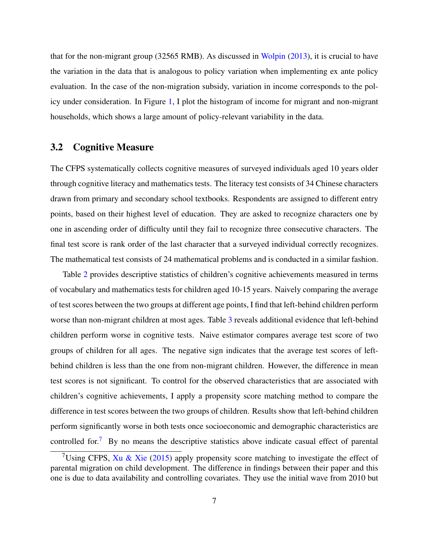that for the non-migrant group (32565 RMB). As discussed in [Wolpin](#page-29-6) [\(2013\)](#page-29-6), it is crucial to have the variation in the data that is analogous to policy variation when implementing ex ante policy evaluation. In the case of the non-migration subsidy, variation in income corresponds to the policy under consideration. In Figure [1,](#page-33-0) I plot the histogram of income for migrant and non-migrant households, which shows a large amount of policy-relevant variability in the data.

### 3.2 Cognitive Measure

The CFPS systematically collects cognitive measures of surveyed individuals aged 10 years older through cognitive literacy and mathematics tests. The literacy test consists of 34 Chinese characters drawn from primary and secondary school textbooks. Respondents are assigned to different entry points, based on their highest level of education. They are asked to recognize characters one by one in ascending order of difficulty until they fail to recognize three consecutive characters. The final test score is rank order of the last character that a surveyed individual correctly recognizes. The mathematical test consists of 24 mathematical problems and is conducted in a similar fashion.

Table [2](#page-31-0) provides descriptive statistics of children's cognitive achievements measured in terms of vocabulary and mathematics tests for children aged 10-15 years. Naively comparing the average of test scores between the two groups at different age points, I find that left-behind children perform worse than non-migrant children at most ages. Table [3](#page-32-0) reveals additional evidence that left-behind children perform worse in cognitive tests. Naive estimator compares average test score of two groups of children for all ages. The negative sign indicates that the average test scores of leftbehind children is less than the one from non-migrant children. However, the difference in mean test scores is not significant. To control for the observed characteristics that are associated with children's cognitive achievements, I apply a propensity score matching method to compare the difference in test scores between the two groups of children. Results show that left-behind children perform significantly worse in both tests once socioeconomic and demographic characteristics are controlled for.<sup>[7](#page-6-0)</sup> By no means the descriptive statistics above indicate casual effect of parental

<span id="page-6-0"></span><sup>&</sup>lt;sup>7</sup>Using CFPS, [Xu & Xie](#page-29-0) [\(2015\)](#page-29-0) apply propensity score matching to investigate the effect of parental migration on child development. The difference in findings between their paper and this one is due to data availability and controlling covariates. They use the initial wave from 2010 but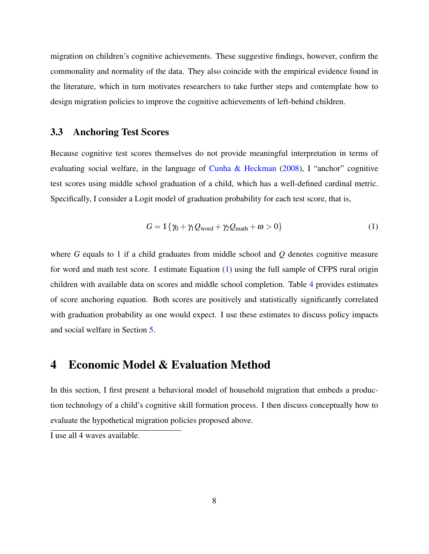migration on children's cognitive achievements. These suggestive findings, however, confirm the commonality and normality of the data. They also coincide with the empirical evidence found in the literature, which in turn motivates researchers to take further steps and contemplate how to design migration policies to improve the cognitive achievements of left-behind children.

#### 3.3 Anchoring Test Scores

Because cognitive test scores themselves do not provide meaningful interpretation in terms of evaluating social welfare, in the language of [Cunha & Heckman](#page-27-7) [\(2008\)](#page-27-7), I "anchor" cognitive test scores using middle school graduation of a child, which has a well-defined cardinal metric. Specifically, I consider a Logit model of graduation probability for each test score, that is,

<span id="page-7-1"></span>
$$
G = \mathbb{1}\{\gamma_0 + \gamma_1 Q_{\text{word}} + \gamma_2 Q_{\text{math}} + \omega > 0\}
$$
 (1)

where *G* equals to 1 if a child graduates from middle school and *Q* denotes cognitive measure for word and math test score. I estimate Equation [\(1\)](#page-7-1) using the full sample of CFPS rural origin children with available data on scores and middle school completion. Table [4](#page-32-1) provides estimates of score anchoring equation. Both scores are positively and statistically significantly correlated with graduation probability as one would expect. I use these estimates to discuss policy impacts and social welfare in Section [5.](#page-12-0)

### <span id="page-7-0"></span>4 Economic Model & Evaluation Method

In this section, I first present a behavioral model of household migration that embeds a production technology of a child's cognitive skill formation process. I then discuss conceptually how to evaluate the hypothetical migration policies proposed above.

I use all 4 waves available.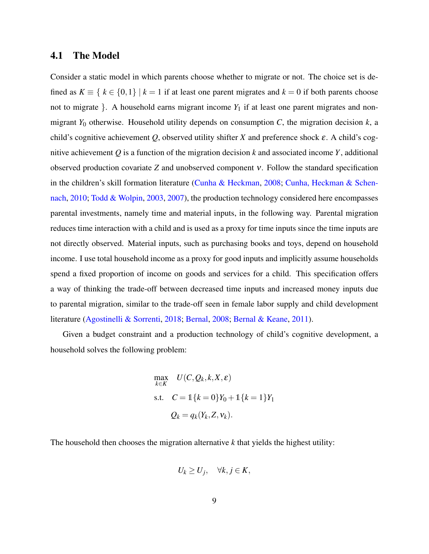### 4.1 The Model

Consider a static model in which parents choose whether to migrate or not. The choice set is defined as  $K \equiv \{ k \in \{0,1\} \mid k = 1 \text{ if at least one parent migrates and } k = 0 \text{ if both parents choose } \}$ not to migrate  $\}$ . A household earns migrant income  $Y_1$  if at least one parent migrates and nonmigrant *Y*<sup>0</sup> otherwise. Household utility depends on consumption *C*, the migration decision *k*, a child's cognitive achievement *Q*, observed utility shifter *X* and preference shock ε. A child's cognitive achievement *Q* is a function of the migration decision *k* and associated income *Y*, additional observed production covariate *Z* and unobserved component ν. Follow the standard specification in the children's skill formation literature [\(Cunha & Heckman,](#page-27-7) [2008;](#page-27-7) [Cunha, Heckman & Schen](#page-27-8)[nach,](#page-27-8) [2010;](#page-27-8) [Todd & Wolpin,](#page-28-12) [2003,](#page-28-12) [2007\)](#page-29-8), the production technology considered here encompasses parental investments, namely time and material inputs, in the following way. Parental migration reduces time interaction with a child and is used as a proxy for time inputs since the time inputs are not directly observed. Material inputs, such as purchasing books and toys, depend on household income. I use total household income as a proxy for good inputs and implicitly assume households spend a fixed proportion of income on goods and services for a child. This specification offers a way of thinking the trade-off between decreased time inputs and increased money inputs due to parental migration, similar to the trade-off seen in female labor supply and child development literature [\(Agostinelli & Sorrenti,](#page-27-9) [2018;](#page-27-9) [Bernal,](#page-27-10) [2008;](#page-27-10) [Bernal & Keane,](#page-27-11) [2011\)](#page-27-11).

Given a budget constraint and a production technology of child's cognitive development, a household solves the following problem:

$$
\max_{k \in K} U(C, Q_k, k, X, \varepsilon)
$$
  
s.t. 
$$
C = \mathbb{1}\{k = 0\}Y_0 + \mathbb{1}\{k = 1\}Y_1
$$

$$
Q_k = q_k(Y_k, Z, \mathbf{v}_k).
$$

The household then chooses the migration alternative *k* that yields the highest utility:

$$
U_k \geq U_j, \quad \forall k, j \in K,
$$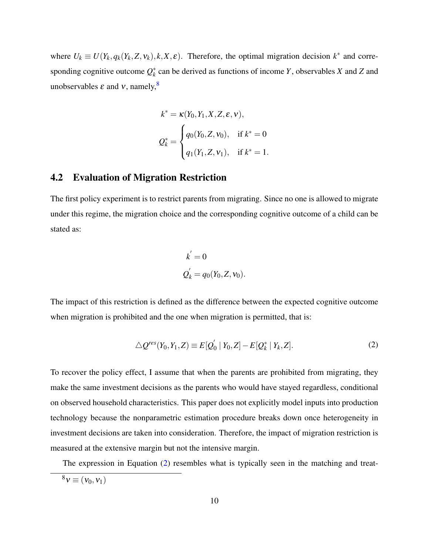where  $U_k \equiv U(Y_k, q_k(Y_k, Z, v_k), k, X, \varepsilon)$ . Therefore, the optimal migration decision  $k^*$  and corresponding cognitive outcome *Q* ∗ *k* can be derived as functions of income *Y*, observables *X* and *Z* and unobservables  $\varepsilon$  and  $v$ , namely,  $8$ 

$$
k^* = \kappa(Y_0, Y_1, X, Z, \varepsilon, v),
$$
  
\n
$$
Q_k^* = \begin{cases} q_0(Y_0, Z, v_0), & \text{if } k^* = 0 \\ q_1(Y_1, Z, v_1), & \text{if } k^* = 1. \end{cases}
$$

#### 4.2 Evaluation of Migration Restriction

The first policy experiment is to restrict parents from migrating. Since no one is allowed to migrate under this regime, the migration choice and the corresponding cognitive outcome of a child can be stated as:

<span id="page-9-1"></span>
$$
k^{'} = 0
$$
  

$$
Q_{k}^{'} = q_0(Y_0, Z, V_0).
$$

The impact of this restriction is defined as the difference between the expected cognitive outcome when migration is prohibited and the one when migration is permitted, that is:

$$
\triangle Q^{res}(Y_0, Y_1, Z) \equiv E[Q_0' | Y_0, Z] - E[Q_k^* | Y_k, Z]. \tag{2}
$$

To recover the policy effect, I assume that when the parents are prohibited from migrating, they make the same investment decisions as the parents who would have stayed regardless, conditional on observed household characteristics. This paper does not explicitly model inputs into production technology because the nonparametric estimation procedure breaks down once heterogeneity in investment decisions are taken into consideration. Therefore, the impact of migration restriction is measured at the extensive margin but not the intensive margin.

The expression in Equation [\(2\)](#page-9-1) resembles what is typically seen in the matching and treat-

<span id="page-9-0"></span> $8v \equiv (v_0, v_1)$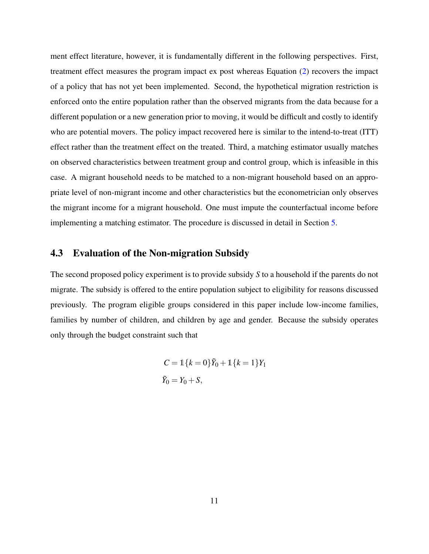ment effect literature, however, it is fundamentally different in the following perspectives. First, treatment effect measures the program impact ex post whereas Equation [\(2\)](#page-9-1) recovers the impact of a policy that has not yet been implemented. Second, the hypothetical migration restriction is enforced onto the entire population rather than the observed migrants from the data because for a different population or a new generation prior to moving, it would be difficult and costly to identify who are potential movers. The policy impact recovered here is similar to the intend-to-treat (ITT) effect rather than the treatment effect on the treated. Third, a matching estimator usually matches on observed characteristics between treatment group and control group, which is infeasible in this case. A migrant household needs to be matched to a non-migrant household based on an appropriate level of non-migrant income and other characteristics but the econometrician only observes the migrant income for a migrant household. One must impute the counterfactual income before implementing a matching estimator. The procedure is discussed in detail in Section [5.](#page-12-0)

#### 4.3 Evaluation of the Non-migration Subsidy

The second proposed policy experiment is to provide subsidy *S* to a household if the parents do not migrate. The subsidy is offered to the entire population subject to eligibility for reasons discussed previously. The program eligible groups considered in this paper include low-income families, families by number of children, and children by age and gender. Because the subsidy operates only through the budget constraint such that

$$
C = \mathbb{1}\{k=0\}\tilde{Y}_0 + \mathbb{1}\{k=1\}Y_1
$$
  

$$
\tilde{Y}_0 = Y_0 + S,
$$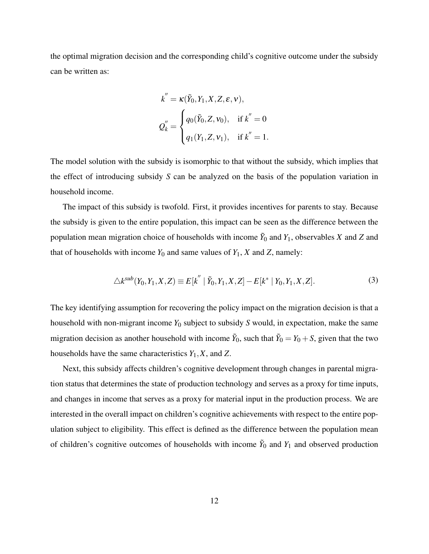the optimal migration decision and the corresponding child's cognitive outcome under the subsidy can be written as:

$$
k^{''} = \kappa(\tilde{Y}_0, Y_1, X, Z, \varepsilon, v),
$$
  

$$
Q_{k}^{''} = \begin{cases} q_0(\tilde{Y}_0, Z, V_0), & \text{if } k^{''} = 0 \\ q_1(Y_1, Z, V_1), & \text{if } k^{''} = 1. \end{cases}
$$

The model solution with the subsidy is isomorphic to that without the subsidy, which implies that the effect of introducing subsidy *S* can be analyzed on the basis of the population variation in household income.

The impact of this subsidy is twofold. First, it provides incentives for parents to stay. Because the subsidy is given to the entire population, this impact can be seen as the difference between the population mean migration choice of households with income  $\tilde{Y}_0$  and  $Y_1$ , observables *X* and *Z* and that of households with income  $Y_0$  and same values of  $Y_1$ ,  $X$  and  $Z$ , namely:

<span id="page-11-0"></span>
$$
\triangle k^{sub}(Y_0, Y_1, X, Z) \equiv E[k^{''} | \tilde{Y}_0, Y_1, X, Z] - E[k^* | Y_0, Y_1, X, Z].
$$
\n(3)

The key identifying assumption for recovering the policy impact on the migration decision is that a household with non-migrant income *Y*<sup>0</sup> subject to subsidy *S* would, in expectation, make the same migration decision as another household with income  $\tilde{Y}_0$ , such that  $\tilde{Y}_0 = Y_0 + S$ , given that the two households have the same characteristics *Y*1,*X*, and *Z*.

Next, this subsidy affects children's cognitive development through changes in parental migration status that determines the state of production technology and serves as a proxy for time inputs, and changes in income that serves as a proxy for material input in the production process. We are interested in the overall impact on children's cognitive achievements with respect to the entire population subject to eligibility. This effect is defined as the difference between the population mean of children's cognitive outcomes of households with income  $\tilde{Y}_0$  and  $Y_1$  and observed production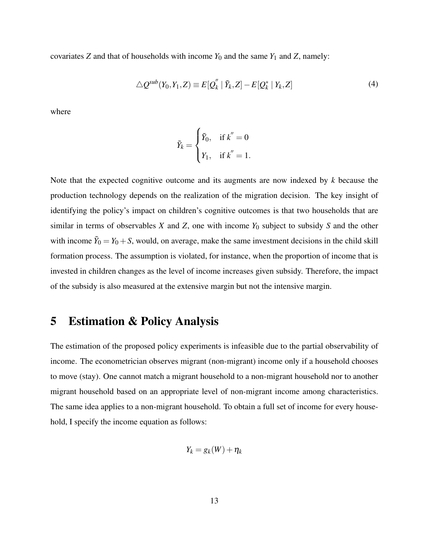covariates *Z* and that of households with income  $Y_0$  and the same  $Y_1$  and *Z*, namely:

$$
\triangle Q^{sub}(Y_0, Y_1, Z) \equiv E[Q_k'' | \tilde{Y}_k, Z] - E[Q_k^* | Y_k, Z]
$$
\n(4)

where

<span id="page-12-1"></span>
$$
\tilde{Y}_k = \begin{cases} \tilde{Y}_0, & \text{if } k'' = 0 \\ Y_1, & \text{if } k'' = 1. \end{cases}
$$

Note that the expected cognitive outcome and its augments are now indexed by *k* because the production technology depends on the realization of the migration decision. The key insight of identifying the policy's impact on children's cognitive outcomes is that two households that are similar in terms of observables *X* and *Z*, one with income *Y*<sup>0</sup> subject to subsidy *S* and the other with income  $\tilde{Y}_0 = Y_0 + S$ , would, on average, make the same investment decisions in the child skill formation process. The assumption is violated, for instance, when the proportion of income that is invested in children changes as the level of income increases given subsidy. Therefore, the impact of the subsidy is also measured at the extensive margin but not the intensive margin.

# <span id="page-12-0"></span>5 Estimation & Policy Analysis

The estimation of the proposed policy experiments is infeasible due to the partial observability of income. The econometrician observes migrant (non-migrant) income only if a household chooses to move (stay). One cannot match a migrant household to a non-migrant household nor to another migrant household based on an appropriate level of non-migrant income among characteristics. The same idea applies to a non-migrant household. To obtain a full set of income for every household, I specify the income equation as follows:

$$
Y_k = g_k(W) + \eta_k
$$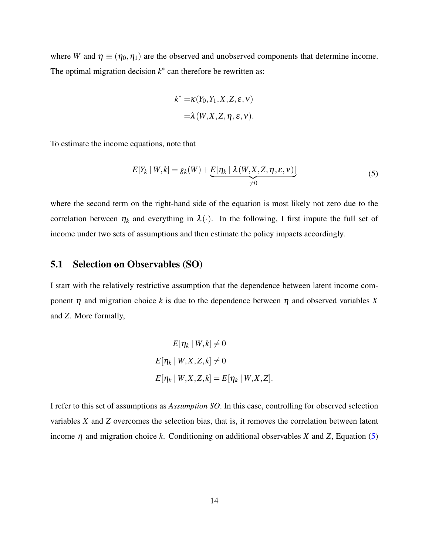where *W* and  $\eta \equiv (\eta_0, \eta_1)$  are the observed and unobserved components that determine income. The optimal migration decision  $k^*$  can therefore be rewritten as:

<span id="page-13-0"></span>
$$
k^* = \kappa(Y_0, Y_1, X, Z, \varepsilon, v)
$$
  
=  $\lambda(W, X, Z, \eta, \varepsilon, v)$ .

To estimate the income equations, note that

$$
E[Y_k | W, k] = g_k(W) + \underbrace{E[\eta_k | \lambda(W, X, Z, \eta, \varepsilon, v)]}_{\neq 0}
$$
\n(5)

where the second term on the right-hand side of the equation is most likely not zero due to the correlation between  $\eta_k$  and everything in  $\lambda(\cdot)$ . In the following, I first impute the full set of income under two sets of assumptions and then estimate the policy impacts accordingly.

#### 5.1 Selection on Observables (SO)

I start with the relatively restrictive assumption that the dependence between latent income component  $\eta$  and migration choice k is due to the dependence between  $\eta$  and observed variables X and *Z*. More formally,

$$
E[\eta_k | W, k] \neq 0
$$
  

$$
E[\eta_k | W, X, Z, k] \neq 0
$$
  

$$
E[\eta_k | W, X, Z, k] = E[\eta_k | W, X, Z].
$$

I refer to this set of assumptions as *Assumption SO*. In this case, controlling for observed selection variables *X* and *Z* overcomes the selection bias, that is, it removes the correlation between latent income  $\eta$  and migration choice *k*. Conditioning on additional observables *X* and *Z*, Equation [\(5\)](#page-13-0)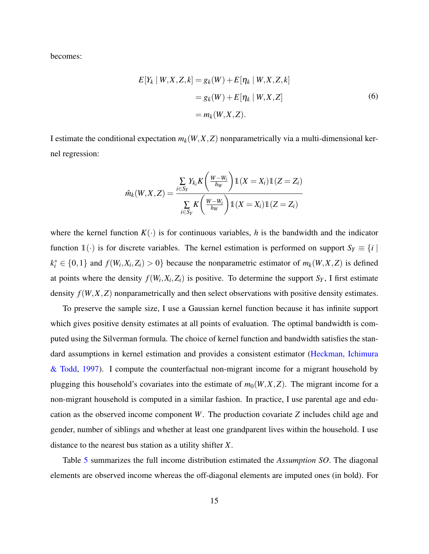becomes:

<span id="page-14-0"></span>
$$
E[Y_k | W, X, Z, k] = g_k(W) + E[\eta_k | W, X, Z, k]
$$
  
=  $g_k(W) + E[\eta_k | W, X, Z]$   
=  $m_k(W, X, Z)$ . (6)

I estimate the conditional expectation  $m_k(W, X, Z)$  nonparametrically via a multi-dimensional kernel regression:

$$
\hat{m}_k(W, X, Z) = \frac{\sum\limits_{i \in S_Y} Y_{k_i} K\left(\frac{W - W_i}{h_W}\right) \mathbb{1}(X = X_i) \mathbb{1}(Z = Z_i)}{\sum\limits_{i \in S_Y} K\left(\frac{W - W_i}{h_W}\right) \mathbb{1}(X = X_i) \mathbb{1}(Z = Z_i)}
$$

where the kernel function  $K(\cdot)$  is for continuous variables, *h* is the bandwidth and the indicator function 1(·) is for discrete variables. The kernel estimation is performed on support  $S_Y \equiv \{i \mid X_i\}$  $k_i^* \in \{0,1\}$  and  $f(W_i, X_i, Z_i) > 0\}$  because the nonparametric estimator of  $m_k(W, X, Z)$  is defined at points where the density  $f(W_i, X_i, Z_i)$  is positive. To determine the support  $S_Y$ , I first estimate density  $f(W, X, Z)$  nonparametrically and then select observations with positive density estimates.

To preserve the sample size, I use a Gaussian kernel function because it has infinite support which gives positive density estimates at all points of evaluation. The optimal bandwidth is computed using the Silverman formula. The choice of kernel function and bandwidth satisfies the standard assumptions in kernel estimation and provides a consistent estimator [\(Heckman, Ichimura](#page-28-13) [& Todd,](#page-28-13) [1997\)](#page-28-13). I compute the counterfactual non-migrant income for a migrant household by plugging this household's covariates into the estimate of  $m_0(W, X, Z)$ . The migrant income for a non-migrant household is computed in a similar fashion. In practice, I use parental age and education as the observed income component *W*. The production covariate *Z* includes child age and gender, number of siblings and whether at least one grandparent lives within the household. I use distance to the nearest bus station as a utility shifter *X*.

Table [5](#page-33-1) summarizes the full income distribution estimated the *Assumption SO*. The diagonal elements are observed income whereas the off-diagonal elements are imputed ones (in bold). For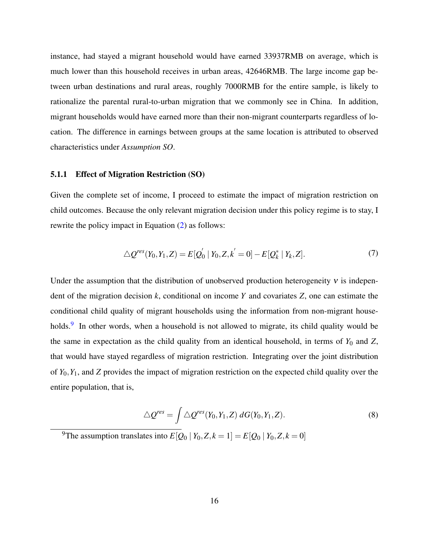instance, had stayed a migrant household would have earned 33937RMB on average, which is much lower than this household receives in urban areas, 42646RMB. The large income gap between urban destinations and rural areas, roughly 7000RMB for the entire sample, is likely to rationalize the parental rural-to-urban migration that we commonly see in China. In addition, migrant households would have earned more than their non-migrant counterparts regardless of location. The difference in earnings between groups at the same location is attributed to observed characteristics under *Assumption SO*.

#### 5.1.1 Effect of Migration Restriction (SO)

Given the complete set of income, I proceed to estimate the impact of migration restriction on child outcomes. Because the only relevant migration decision under this policy regime is to stay, I rewrite the policy impact in Equation [\(2\)](#page-9-1) as follows:

$$
\triangle Q^{res}(Y_0, Y_1, Z) = E[Q_0^{'} | Y_0, Z, k^{'} = 0] - E[Q_k^* | Y_k, Z].
$$
\n(7)

Under the assumption that the distribution of unobserved production heterogeneity  $v$  is independent of the migration decision *k*, conditional on income *Y* and covariates *Z*, one can estimate the conditional child quality of migrant households using the information from non-migrant house-holds.<sup>[9](#page-15-0)</sup> In other words, when a household is not allowed to migrate, its child quality would be the same in expectation as the child quality from an identical household, in terms of  $Y_0$  and  $Z$ , that would have stayed regardless of migration restriction. Integrating over the joint distribution of *Y*0,*Y*1, and *Z* provides the impact of migration restriction on the expected child quality over the entire population, that is,

<span id="page-15-1"></span>
$$
\triangle Q^{res} = \int \triangle Q^{res}(Y_0, Y_1, Z) \, dG(Y_0, Y_1, Z). \tag{8}
$$

<span id="page-15-0"></span><sup>9</sup>The assumption translates into  $E[Q_0 | Y_0, Z, k = 1] = E[Q_0 | Y_0, Z, k = 0]$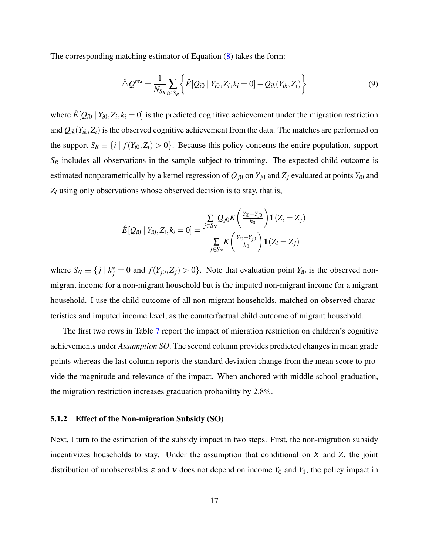The corresponding matching estimator of Equation [\(8\)](#page-15-1) takes the form:

<span id="page-16-0"></span>
$$
\hat{\triangle} Q^{res} = \frac{1}{N_{S_R}} \sum_{i \in S_R} \left\{ \hat{E}[Q_{i0} | Y_{i0}, Z_i, k_i = 0] - Q_{ik}(Y_{ik}, Z_i) \right\}
$$
(9)

where  $\hat{E}[Q_{i0} | Y_{i0}, Z_i, k_i = 0]$  is the predicted cognitive achievement under the migration restriction and  $Q_{ik}(Y_{ik}, Z_i)$  is the observed cognitive achievement from the data. The matches are performed on the support  $S_R \equiv \{i \mid f(Y_{i0}, Z_i) > 0\}$ . Because this policy concerns the entire population, support *S<sup>R</sup>* includes all observations in the sample subject to trimming. The expected child outcome is estimated nonparametrically by a kernel regression of  $Q_{j0}$  on  $Y_{j0}$  and  $Z_j$  evaluated at points  $Y_{i0}$  and  $Z_i$  using only observations whose observed decision is to stay, that is,

$$
\hat{E}[Q_{i0} | Y_{i0}, Z_i, k_i = 0] = \frac{\sum_{j \in S_N} Q_{j0} K\left(\frac{Y_{i0} - Y_{j0}}{h_0}\right) \mathbb{1}(Z_i = Z_j)}{\sum_{j \in S_N} K\left(\frac{Y_{i0} - Y_{j0}}{h_0}\right) \mathbb{1}(Z_i = Z_j)}
$$

where  $S_N \equiv \{ j \mid k_j^* = 0 \text{ and } f(Y_{j0}, Z_j) > 0 \}.$  Note that evaluation point  $Y_{i0}$  is the observed nonmigrant income for a non-migrant household but is the imputed non-migrant income for a migrant household. I use the child outcome of all non-migrant households, matched on observed characteristics and imputed income level, as the counterfactual child outcome of migrant household.

The first two rows in Table [7](#page-34-0) report the impact of migration restriction on children's cognitive achievements under *Assumption SO*. The second column provides predicted changes in mean grade points whereas the last column reports the standard deviation change from the mean score to provide the magnitude and relevance of the impact. When anchored with middle school graduation, the migration restriction increases graduation probability by 2.8%.

#### 5.1.2 Effect of the Non-migration Subsidy (SO)

Next, I turn to the estimation of the subsidy impact in two steps. First, the non-migration subsidy incentivizes households to stay. Under the assumption that conditional on *X* and *Z*, the joint distribution of unobservables  $\varepsilon$  and  $v$  does not depend on income  $Y_0$  and  $Y_1$ , the policy impact in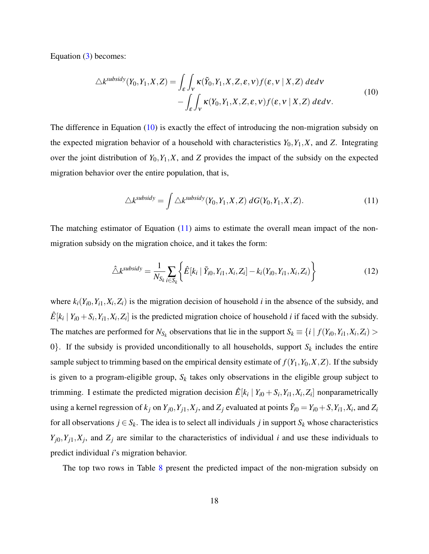Equation [\(3\)](#page-11-0) becomes:

$$
\triangle k^{subsidy}(Y_0, Y_1, X, Z) = \int_{\mathcal{E}} \int_{V} \kappa(\tilde{Y}_0, Y_1, X, Z, \varepsilon, v) f(\varepsilon, v \mid X, Z) \, d\varepsilon dv - \int_{\mathcal{E}} \int_{V} \kappa(Y_0, Y_1, X, Z, \varepsilon, v) f(\varepsilon, v \mid X, Z) \, d\varepsilon dv.
$$
\n(10)

The difference in Equation [\(10\)](#page-17-0) is exactly the effect of introducing the non-migration subsidy on the expected migration behavior of a household with characteristics  $Y_0, Y_1, X$ , and  $Z$ . Integrating over the joint distribution of  $Y_0, Y_1, X$ , and *Z* provides the impact of the subsidy on the expected migration behavior over the entire population, that is,

<span id="page-17-2"></span><span id="page-17-1"></span><span id="page-17-0"></span>
$$
\triangle k^{subsidy} = \int \triangle k^{subsidy} (Y_0, Y_1, X, Z) \, dG(Y_0, Y_1, X, Z). \tag{11}
$$

The matching estimator of Equation  $(11)$  aims to estimate the overall mean impact of the nonmigration subsidy on the migration choice, and it takes the form:

$$
\hat{\triangle}k^{subsidy} = \frac{1}{N_{S_k}} \sum_{i \in S_k} \left\{ \hat{E}[k_i \mid \tilde{Y}_{i0}, Y_{i1}, X_i, Z_i] - k_i(Y_{i0}, Y_{i1}, X_i, Z_i) \right\}
$$
(12)

where  $k_i(Y_{i0}, Y_{i1}, X_i, Z_i)$  is the migration decision of household *i* in the absence of the subsidy, and  $\hat{E}[k_i | Y_{i0} + S_i, Y_{i1}, X_i, Z_i]$  is the predicted migration choice of household *i* if faced with the subsidy. The matches are performed for  $N_{S_k}$  observations that lie in the support  $S_k \equiv \{i \mid f(Y_{i0}, Y_{i1}, X_i, Z_i) >$ 0. If the subsidy is provided unconditionally to all households, support  $S_k$  includes the entire sample subject to trimming based on the empirical density estimate of  $f(Y_1, Y_0, X, Z)$ . If the subsidy is given to a program-eligible group,  $S_k$  takes only observations in the eligible group subject to trimming. I estimate the predicted migration decision  $\hat{E}[k_i | Y_{i0} + S_i, Y_{i1}, X_i, Z_i]$  nonparametrically using a kernel regression of  $k_j$  on  $Y_{j0}, Y_{j1}, X_j$ , and  $Z_j$  evaluated at points  $\tilde{Y}_{i0} = Y_{i0} + S, Y_{i1}, X_i$ , and  $Z_i$ for all observations  $j \in S_k$ . The idea is to select all individuals  $j$  in support  $S_k$  whose characteristics  $Y_{j0}$ ,  $Y_{j1}$ ,  $X_j$ , and  $Z_j$  are similar to the characteristics of individual *i* and use these individuals to predict individual *i*'s migration behavior.

The top two rows in Table [8](#page-34-1) present the predicted impact of the non-migration subsidy on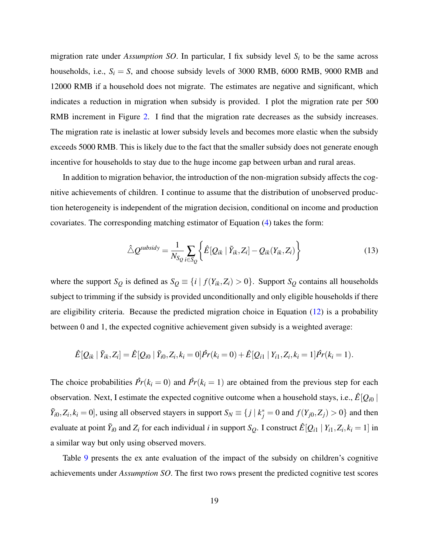migration rate under *Assumption SO*. In particular, I fix subsidy level *S<sup>i</sup>* to be the same across households, i.e.,  $S_i = S$ , and choose subsidy levels of 3000 RMB, 6000 RMB, 9000 RMB and 12000 RMB if a household does not migrate. The estimates are negative and significant, which indicates a reduction in migration when subsidy is provided. I plot the migration rate per 500 RMB increment in Figure [2.](#page-34-2) I find that the migration rate decreases as the subsidy increases. The migration rate is inelastic at lower subsidy levels and becomes more elastic when the subsidy exceeds 5000 RMB. This is likely due to the fact that the smaller subsidy does not generate enough incentive for households to stay due to the huge income gap between urban and rural areas.

In addition to migration behavior, the introduction of the non-migration subsidy affects the cognitive achievements of children. I continue to assume that the distribution of unobserved production heterogeneity is independent of the migration decision, conditional on income and production covariates. The corresponding matching estimator of Equation [\(4\)](#page-12-1) takes the form:

<span id="page-18-0"></span>
$$
\hat{\triangle} Q^{\text{subsidy}} = \frac{1}{N_{\text{S}_Q}} \sum_{i \in \text{S}_Q} \left\{ \hat{E} [Q_{ik} | \tilde{Y}_{ik}, Z_i] - Q_{ik}(Y_{ik}, Z_i) \right\} \tag{13}
$$

where the support  $S_Q$  is defined as  $S_Q \equiv \{i \mid f(Y_{ik}, Z_i) > 0\}$ . Support  $S_Q$  contains all households subject to trimming if the subsidy is provided unconditionally and only eligible households if there are eligibility criteria. Because the predicted migration choice in Equation [\(12\)](#page-17-2) is a probability between 0 and 1, the expected cognitive achievement given subsidy is a weighted average:

$$
\hat{E}[Q_{ik} | \tilde{Y}_{ik}, Z_i] = \hat{E}[Q_{i0} | \tilde{Y}_{i0}, Z_i, k_i = 0] \hat{Pr}(k_i = 0) + \hat{E}[Q_{i1} | Y_{i1}, Z_i, k_i = 1] \hat{Pr}(k_i = 1).
$$

The choice probabilities  $\hat{Pr}(k_i = 0)$  and  $\hat{Pr}(k_i = 1)$  are obtained from the previous step for each observation. Next, I estimate the expected cognitive outcome when a household stays, i.e.,  $\hat{E}[Q_{i0}]$  $\tilde{Y}_{i0}, Z_i, k_i = 0$ , using all observed stayers in support  $S_N \equiv \{j \mid k_j^* = 0 \text{ and } f(Y_{j0}, Z_j) > 0\}$  and then evaluate at point  $\tilde{Y}_{i0}$  and  $Z_i$  for each individual *i* in support  $S_Q$ . I construct  $\hat{E}[Q_{i1} | Y_{i1}, Z_i, k_i = 1]$  in a similar way but only using observed movers.

Table [9](#page-35-0) presents the ex ante evaluation of the impact of the subsidy on children's cognitive achievements under *Assumption SO*. The first two rows present the predicted cognitive test scores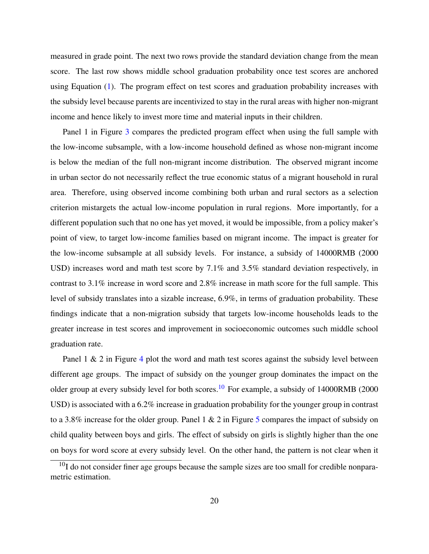measured in grade point. The next two rows provide the standard deviation change from the mean score. The last row shows middle school graduation probability once test scores are anchored using Equation [\(1\)](#page-7-1). The program effect on test scores and graduation probability increases with the subsidy level because parents are incentivized to stay in the rural areas with higher non-migrant income and hence likely to invest more time and material inputs in their children.

Panel 1 in Figure [3](#page-36-0) compares the predicted program effect when using the full sample with the low-income subsample, with a low-income household defined as whose non-migrant income is below the median of the full non-migrant income distribution. The observed migrant income in urban sector do not necessarily reflect the true economic status of a migrant household in rural area. Therefore, using observed income combining both urban and rural sectors as a selection criterion mistargets the actual low-income population in rural regions. More importantly, for a different population such that no one has yet moved, it would be impossible, from a policy maker's point of view, to target low-income families based on migrant income. The impact is greater for the low-income subsample at all subsidy levels. For instance, a subsidy of 14000RMB (2000 USD) increases word and math test score by 7.1% and 3.5% standard deviation respectively, in contrast to 3.1% increase in word score and 2.8% increase in math score for the full sample. This level of subsidy translates into a sizable increase, 6.9%, in terms of graduation probability. These findings indicate that a non-migration subsidy that targets low-income households leads to the greater increase in test scores and improvement in socioeconomic outcomes such middle school graduation rate.

Panel  $1 \& 2$  in Figure [4](#page-36-1) plot the word and math test scores against the subsidy level between different age groups. The impact of subsidy on the younger group dominates the impact on the older group at every subsidy level for both scores.<sup>[10](#page-19-0)</sup> For example, a subsidy of 14000RMB (2000) USD) is associated with a 6.2% increase in graduation probability for the younger group in contrast to a 3.8% increase for the older group. Panel 1 & 2 in Figure [5](#page-37-0) compares the impact of subsidy on child quality between boys and girls. The effect of subsidy on girls is slightly higher than the one on boys for word score at every subsidy level. On the other hand, the pattern is not clear when it

<span id="page-19-0"></span> $10$ I do not consider finer age groups because the sample sizes are too small for credible nonparametric estimation.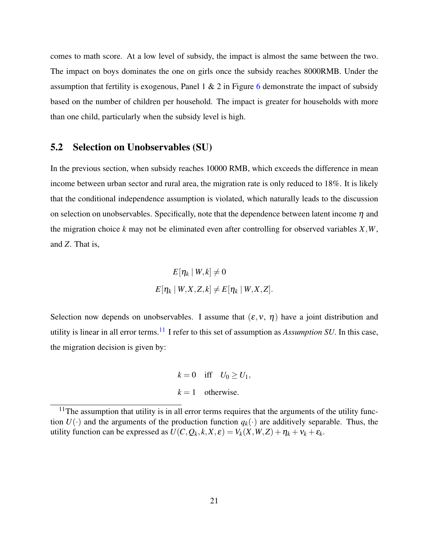comes to math score. At a low level of subsidy, the impact is almost the same between the two. The impact on boys dominates the one on girls once the subsidy reaches 8000RMB. Under the assumption that fertility is exogenous, Panel  $1 \& 2$  in Figure [6](#page-38-0) demonstrate the impact of subsidy based on the number of children per household. The impact is greater for households with more than one child, particularly when the subsidy level is high.

### 5.2 Selection on Unobservables (SU)

In the previous section, when subsidy reaches 10000 RMB, which exceeds the difference in mean income between urban sector and rural area, the migration rate is only reduced to 18%. It is likely that the conditional independence assumption is violated, which naturally leads to the discussion on selection on unobservables. Specifically, note that the dependence between latent income  $\eta$  and the migration choice *k* may not be eliminated even after controlling for observed variables *X*,*W*, and *Z*. That is,

$$
E[\eta_k | W, k] \neq 0
$$
  

$$
E[\eta_k | W, X, Z, k] \neq E[\eta_k | W, X, Z].
$$

Selection now depends on unobservables. I assume that  $(\varepsilon, v, \eta)$  have a joint distribution and utility is linear in all error terms.[11](#page-20-0) I refer to this set of assumption as *Assumption SU*. In this case, the migration decision is given by:

> $k = 0$  iff  $U_0 \ge U_1$ ,  $k = 1$  otherwise.

<span id="page-20-0"></span> $11$ The assumption that utility is in all error terms requires that the arguments of the utility function  $U(\cdot)$  and the arguments of the production function  $q_k(\cdot)$  are additively separable. Thus, the utility function can be expressed as  $U(C, Q_k, k, X, \varepsilon) = V_k(X, W, Z) + \eta_k + v_k + \varepsilon_k$ .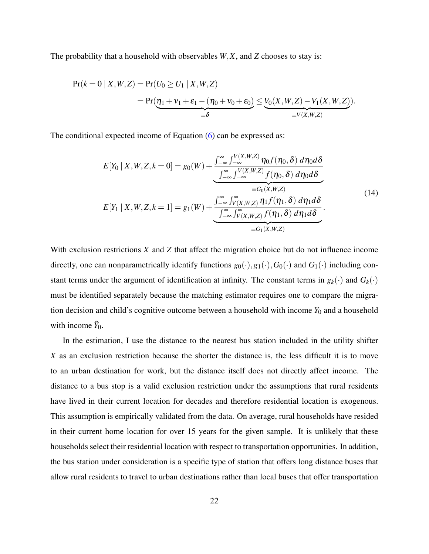The probability that a household with observables *W*,*X*, and *Z* chooses to stay is:

$$
Pr(k = 0 | X, W, Z) = Pr(U_0 \ge U_1 | X, W, Z)
$$
  
= 
$$
Pr(\eta_1 + v_1 + \varepsilon_1 - (\eta_0 + v_0 + \varepsilon_0) \le \underbrace{V_0(X, W, Z) - V_1(X, W, Z)}_{\equiv V(X, W, Z)}).
$$

The conditional expected income of Equation [\(6\)](#page-14-0) can be expressed as:

<span id="page-21-0"></span>
$$
E[Y_0 | X, W, Z, k = 0] = g_0(W) + \frac{\int_{-\infty}^{\infty} \int_{-\infty}^{V(X, W, Z)} \eta_0 f(\eta_0, \delta) d\eta_0 d\delta}{\int_{-\infty}^{\infty} \int_{-\infty}^{V(X, W, Z)} f(\eta_0, \delta) d\eta_0 d\delta}
$$
  
\n
$$
E[Y_1 | X, W, Z, k = 1] = g_1(W) + \frac{\int_{-\infty}^{\infty} \int_{V(X, W, Z)}^{\infty} \eta_1 f(\eta_1, \delta) d\eta_1 d\delta}{\int_{-\infty}^{\infty} \int_{V(X, W, Z)}^{\infty} f(\eta_1, \delta) d\eta_1 d\delta}.
$$
  
\n
$$
= G_1(X, W, Z)
$$
 (14)

With exclusion restrictions *X* and *Z* that affect the migration choice but do not influence income directly, one can nonparametrically identify functions  $g_0(\cdot), g_1(\cdot), G_0(\cdot)$  and  $G_1(\cdot)$  including constant terms under the argument of identification at infinity. The constant terms in  $g_k(\cdot)$  and  $G_k(\cdot)$ must be identified separately because the matching estimator requires one to compare the migration decision and child's cognitive outcome between a household with income *Y*<sup>0</sup> and a household with income  $\tilde{Y}_0$ .

In the estimation, I use the distance to the nearest bus station included in the utility shifter *X* as an exclusion restriction because the shorter the distance is, the less difficult it is to move to an urban destination for work, but the distance itself does not directly affect income. The distance to a bus stop is a valid exclusion restriction under the assumptions that rural residents have lived in their current location for decades and therefore residential location is exogenous. This assumption is empirically validated from the data. On average, rural households have resided in their current home location for over 15 years for the given sample. It is unlikely that these households select their residential location with respect to transportation opportunities. In addition, the bus station under consideration is a specific type of station that offers long distance buses that allow rural residents to travel to urban destinations rather than local buses that offer transportation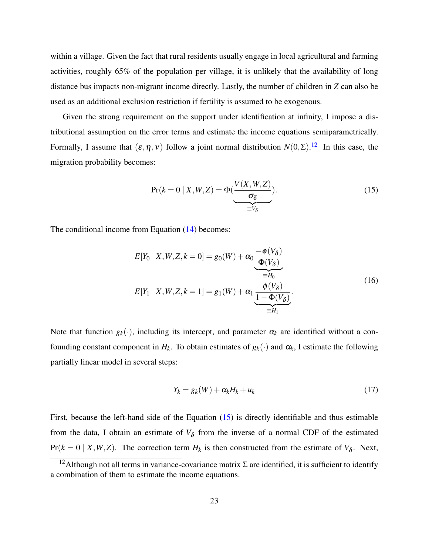within a village. Given the fact that rural residents usually engage in local agricultural and farming activities, roughly 65% of the population per village, it is unlikely that the availability of long distance bus impacts non-migrant income directly. Lastly, the number of children in *Z* can also be used as an additional exclusion restriction if fertility is assumed to be exogenous.

Given the strong requirement on the support under identification at infinity, I impose a distributional assumption on the error terms and estimate the income equations semiparametrically. Formally, I assume that  $(\varepsilon, \eta, v)$  follow a joint normal distribution  $N(0, \Sigma)$ .<sup>[12](#page-22-0)</sup> In this case, the migration probability becomes:

<span id="page-22-1"></span>
$$
Pr(k=0 | X, W, Z) = \Phi(\underbrace{\frac{V(X, W, Z)}{\sigma_{\delta}}}_{\equiv V_{\delta}}).
$$
\n(15)

The conditional income from Equation [\(14\)](#page-21-0) becomes:

$$
E[Y_0 | X, W, Z, k = 0] = g_0(W) + \alpha_0 \underbrace{\frac{-\phi(V_\delta)}{\Phi(V_\delta)}}_{\equiv H_0}
$$
\n
$$
E[Y_1 | X, W, Z, k = 1] = g_1(W) + \alpha_1 \underbrace{\frac{\phi(V_\delta)}{1 - \Phi(V_\delta)}}_{\equiv H_1}.
$$
\n(16)

Note that function  $g_k(\cdot)$ , including its intercept, and parameter  $\alpha_k$  are identified without a confounding constant component in  $H_k$ . To obtain estimates of  $g_k(\cdot)$  and  $\alpha_k$ , I estimate the following partially linear model in several steps:

<span id="page-22-3"></span><span id="page-22-2"></span>
$$
Y_k = g_k(W) + \alpha_k H_k + u_k \tag{17}
$$

First, because the left-hand side of the Equation [\(15\)](#page-22-1) is directly identifiable and thus estimable from the data, I obtain an estimate of  $V_{\delta}$  from the inverse of a normal CDF of the estimated  $Pr(k = 0 | X, W, Z)$ . The correction term  $H_k$  is then constructed from the estimate of  $V_{\delta}$ . Next,

<span id="page-22-0"></span><sup>&</sup>lt;sup>12</sup>Although not all terms in variance-covariance matrix  $\Sigma$  are identified, it is sufficient to identify a combination of them to estimate the income equations.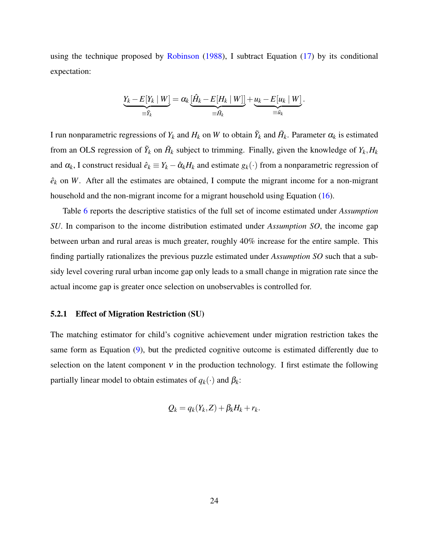using the technique proposed by [Robinson](#page-28-14) [\(1988\)](#page-28-14), I subtract Equation [\(17\)](#page-22-2) by its conditional expectation:

$$
\underbrace{Y_k - E[Y_k \mid W]}_{\equiv \tilde{Y}_k} = \alpha_k \underbrace{[\hat{H}_k - E[H_k \mid W]]}_{\equiv \tilde{H}_k} + \underbrace{u_k - E[u_k \mid W]}_{\equiv \tilde{u}_k}.
$$

I run nonparametric regressions of  $Y_k$  and  $H_k$  on W to obtain  $\tilde{Y}_k$  and  $\tilde{H}_k$ . Parameter  $\alpha_k$  is estimated from an OLS regression of  $\tilde{Y}_k$  on  $\tilde{H}_k$  subject to trimming. Finally, given the knowledge of  $Y_k, H_k$ and  $\alpha_k$ , I construct residual  $\hat{e}_k \equiv Y_k - \hat{\alpha}_k H_k$  and estimate  $g_k(\cdot)$  from a nonparametric regression of  $\hat{e}_k$  on *W*. After all the estimates are obtained, I compute the migrant income for a non-migrant household and the non-migrant income for a migrant household using Equation [\(16\)](#page-22-3).

Table [6](#page-33-2) reports the descriptive statistics of the full set of income estimated under *Assumption SU*. In comparison to the income distribution estimated under *Assumption SO*, the income gap between urban and rural areas is much greater, roughly 40% increase for the entire sample. This finding partially rationalizes the previous puzzle estimated under *Assumption SO* such that a subsidy level covering rural urban income gap only leads to a small change in migration rate since the actual income gap is greater once selection on unobservables is controlled for.

#### 5.2.1 Effect of Migration Restriction (SU)

The matching estimator for child's cognitive achievement under migration restriction takes the same form as Equation [\(9\)](#page-16-0), but the predicted cognitive outcome is estimated differently due to selection on the latent component  $v$  in the production technology. I first estimate the following partially linear model to obtain estimates of  $q_k(\cdot)$  and  $\beta_k$ :

$$
Q_k = q_k(Y_k, Z) + \beta_k H_k + r_k.
$$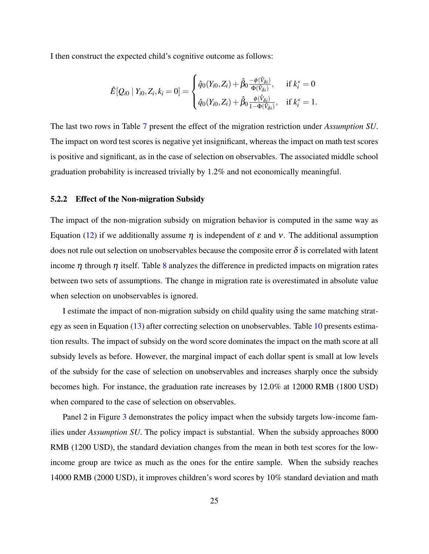I then construct the expected child's cognitive outcome as follows:

$$
\hat{E}[Q_{i0} | Y_{i0}, Z_i, k_i = 0] = \begin{cases} \hat{q}_0(Y_{i0}, Z_i) + \hat{\beta}_0 \frac{-\phi(\hat{V}_{\delta i})}{\Phi(\hat{V}_{\delta i})}, & \text{if } k_i^* = 0\\ \hat{q}_0(Y_{i0}, Z_i) + \hat{\beta}_0 \frac{\phi(\hat{V}_{\delta i})}{1 - \Phi(\hat{V}_{\delta i})}, & \text{if } k_i^* = 1. \end{cases}
$$

The last two rows in Table [7](#page-34-0) present the effect of the migration restriction under *Assumption SU*. The impact on word test scores is negative yet insignificant, whereas the impact on math test scores is positive and significant, as in the case of selection on observables. The associated middle school graduation probability is increased trivially by 1.2% and not economically meaningful.

#### 5.2.2 Effect of the Non-migration Subsidy

The impact of the non-migration subsidy on migration behavior is computed in the same way as Equation [\(12\)](#page-17-2) if we additionally assume η is independent of  $ε$  and  $ν$ . The additional assumption does not rule out selection on unobservables because the composite error  $\delta$  is correlated with latent income  $\eta$  through  $\eta$  itself. Table [8](#page-34-1) analyzes the difference in predicted impacts on migration rates between two sets of assumptions. The change in migration rate is overestimated in absolute value when selection on unobservables is ignored.

I estimate the impact of non-migration subsidy on child quality using the same matching strategy as seen in Equation [\(13\)](#page-18-0) after correcting selection on unobservables. Table [10](#page-35-1) presents estimation results. The impact of subsidy on the word score dominates the impact on the math score at all subsidy levels as before. However, the marginal impact of each dollar spent is small at low levels of the subsidy for the case of selection on unobservables and increases sharply once the subsidy becomes high. For instance, the graduation rate increases by 12.0% at 12000 RMB (1800 USD) when compared to the case of selection on observables.

Panel 2 in Figure [3](#page-36-0) demonstrates the policy impact when the subsidy targets low-income families under *Assumption SU*. The policy impact is substantial. When the subsidy approaches 8000 RMB (1200 USD), the standard deviation changes from the mean in both test scores for the lowincome group are twice as much as the ones for the entire sample. When the subsidy reaches 14000 RMB (2000 USD), it improves children's word scores by 10% standard deviation and math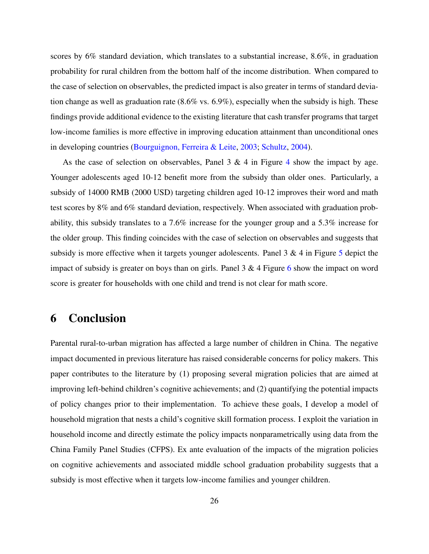scores by 6% standard deviation, which translates to a substantial increase, 8.6%, in graduation probability for rural children from the bottom half of the income distribution. When compared to the case of selection on observables, the predicted impact is also greater in terms of standard deviation change as well as graduation rate  $(8.6\% \text{ vs. } 6.9\%)$ , especially when the subsidy is high. These findings provide additional evidence to the existing literature that cash transfer programs that target low-income families is more effective in improving education attainment than unconditional ones in developing countries [\(Bourguignon, Ferreira & Leite,](#page-27-12) [2003;](#page-27-12) [Schultz,](#page-28-15) [2004\)](#page-28-15).

As the case of selection on observables, Panel  $3 \& 4$  $3 \& 4$  in Figure 4 show the impact by age. Younger adolescents aged 10-12 benefit more from the subsidy than older ones. Particularly, a subsidy of 14000 RMB (2000 USD) targeting children aged 10-12 improves their word and math test scores by 8% and 6% standard deviation, respectively. When associated with graduation probability, this subsidy translates to a 7.6% increase for the younger group and a 5.3% increase for the older group. This finding coincides with the case of selection on observables and suggests that subsidy is more effective when it targets younger adolescents. Panel 3 & 4 in Figure [5](#page-37-0) depict the impact of subsidy is greater on boys than on girls. Panel 3 & 4 Figure [6](#page-38-0) show the impact on word score is greater for households with one child and trend is not clear for math score.

# <span id="page-25-0"></span>6 Conclusion

Parental rural-to-urban migration has affected a large number of children in China. The negative impact documented in previous literature has raised considerable concerns for policy makers. This paper contributes to the literature by (1) proposing several migration policies that are aimed at improving left-behind children's cognitive achievements; and (2) quantifying the potential impacts of policy changes prior to their implementation. To achieve these goals, I develop a model of household migration that nests a child's cognitive skill formation process. I exploit the variation in household income and directly estimate the policy impacts nonparametrically using data from the China Family Panel Studies (CFPS). Ex ante evaluation of the impacts of the migration policies on cognitive achievements and associated middle school graduation probability suggests that a subsidy is most effective when it targets low-income families and younger children.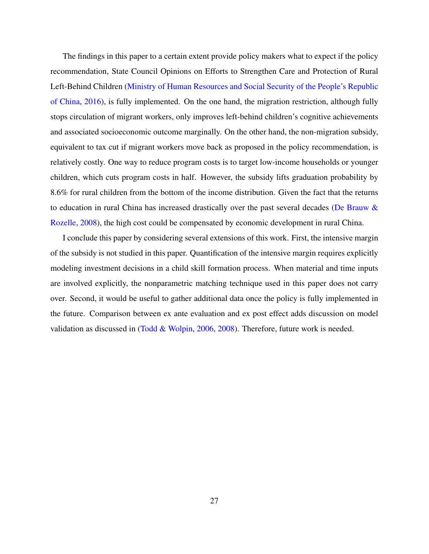The findings in this paper to a certain extent provide policy makers what to expect if the policy recommendation, State Council Opinions on Efforts to Strengthen Care and Protection of Rural Left-Behind Children [\(Ministry of Human Resources and Social Security of the People's Republic](#page-28-0) [of China,](#page-28-0) [2016\)](#page-28-0), is fully implemented. On the one hand, the migration restriction, although fully stops circulation of migrant workers, only improves left-behind children's cognitive achievements and associated socioeconomic outcome marginally. On the other hand, the non-migration subsidy, equivalent to tax cut if migrant workers move back as proposed in the policy recommendation, is relatively costly. One way to reduce program costs is to target low-income households or younger children, which cuts program costs in half. However, the subsidy lifts graduation probability by 8.6% for rural children from the bottom of the income distribution. Given the fact that the returns to education in rural China has increased drastically over the past several decades [\(De Brauw &](#page-27-13) [Rozelle,](#page-27-13) [2008\)](#page-27-13), the high cost could be compensated by economic development in rural China.

I conclude this paper by considering several extensions of this work. First, the intensive margin of the subsidy is not studied in this paper. Quantification of the intensive margin requires explicitly modeling investment decisions in a child skill formation process. When material and time inputs are involved explicitly, the nonparametric matching technique used in this paper does not carry over. Second, it would be useful to gather additional data once the policy is fully implemented in the future. Comparison between ex ante evaluation and ex post effect adds discussion on model validation as discussed in [\(Todd & Wolpin,](#page-29-9) [2006,](#page-29-9) [2008\)](#page-29-5). Therefore, future work is needed.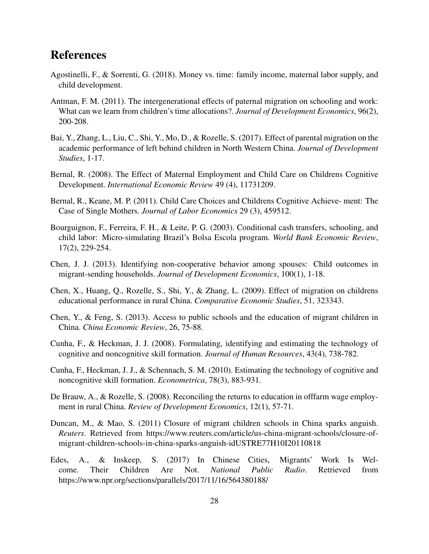# References

- <span id="page-27-9"></span>Agostinelli, F., & Sorrenti, G. (2018). Money vs. time: family income, maternal labor supply, and child development.
- <span id="page-27-6"></span>Antman, F. M. (2011). The intergenerational effects of paternal migration on schooling and work: What can we learn from children's time allocations?. *Journal of Development Economics*, 96(2), 200-208.
- <span id="page-27-3"></span>Bai, Y., Zhang, L., Liu, C., Shi, Y., Mo, D., & Rozelle, S. (2017). Effect of parental migration on the academic performance of left behind children in North Western China. *Journal of Development Studies*, 1-17.
- <span id="page-27-10"></span>Bernal, R. (2008). The Effect of Maternal Employment and Child Care on Childrens Cognitive Development. *International Economic Review* 49 (4), 11731209.
- <span id="page-27-11"></span>Bernal, R., Keane, M. P. (2011). Child Care Choices and Childrens Cognitive Achieve- ment: The Case of Single Mothers. *Journal of Labor Economics* 29 (3), 459512.
- <span id="page-27-12"></span>Bourguignon, F., Ferreira, F. H., & Leite, P. G. (2003). Conditional cash transfers, schooling, and child labor: Micro-simulating Brazil's Bolsa Escola program. *World Bank Economic Review*, 17(2), 229-254.
- <span id="page-27-5"></span>Chen, J. J. (2013). Identifying non-cooperative behavior among spouses: Child outcomes in migrant-sending households. *Journal of Development Economics*, 100(1), 1-18.
- <span id="page-27-4"></span>Chen, X., Huang, Q., Rozelle, S., Shi, Y., & Zhang, L. (2009). Effect of migration on childrens educational performance in rural China. *Comparative Economic Studies*, 51, 323343.
- <span id="page-27-0"></span>Chen, Y., & Feng, S. (2013). Access to public schools and the education of migrant children in China. *China Economic Review*, 26, 75-88.
- <span id="page-27-7"></span>Cunha, F., & Heckman, J. J. (2008). Formulating, identifying and estimating the technology of cognitive and noncognitive skill formation. *Journal of Human Resources*, 43(4), 738-782.
- <span id="page-27-8"></span>Cunha, F., Heckman, J. J., & Schennach, S. M. (2010). Estimating the technology of cognitive and noncognitive skill formation. *Econometrica*, 78(3), 883-931.
- <span id="page-27-13"></span>De Brauw, A., & Rozelle, S. (2008). Reconciling the returns to education in offfarm wage employment in rural China. *Review of Development Economics*, 12(1), 57-71.
- <span id="page-27-1"></span>Duncan, M., & Mao, S. (2011) Closure of migrant children schools in China sparks anguish. *Reuters*. Retrieved from https://www.reuters.com/article/us-china-migrant-schools/closure-ofmigrant-children-schools-in-china-sparks-anguish-idUSTRE77H10I20110818
- <span id="page-27-2"></span>Edes, A., & Inskeep, S. (2017) In Chinese Cities, Migrants' Work Is Welcome. Their Children Are Not. *National Public Radio*. Retrieved from https://www.npr.org/sections/parallels/2017/11/16/564380188/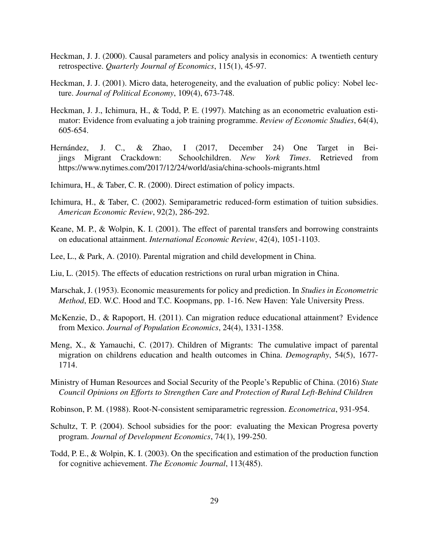- <span id="page-28-6"></span>Heckman, J. J. (2000). Causal parameters and policy analysis in economics: A twentieth century retrospective. *Quarterly Journal of Economics*, 115(1), 45-97.
- <span id="page-28-7"></span>Heckman, J. J. (2001). Micro data, heterogeneity, and the evaluation of public policy: Nobel lecture. *Journal of Political Economy*, 109(4), 673-748.
- <span id="page-28-13"></span>Heckman, J. J., Ichimura, H., & Todd, P. E. (1997). Matching as an econometric evaluation estimator: Evidence from evaluating a job training programme. *Review of Economic Studies*, 64(4), 605-654.
- <span id="page-28-1"></span>Hernández, J. C., & Zhao, I (2017, December 24) One Target in Beijings Migrant Crackdown: Schoolchildren. *New York Times*. Retrieved from https://www.nytimes.com/2017/12/24/world/asia/china-schools-migrants.html
- <span id="page-28-8"></span>Ichimura, H., & Taber, C. R. (2000). Direct estimation of policy impacts.
- <span id="page-28-9"></span>Ichimura, H., & Taber, C. (2002). Semiparametric reduced-form estimation of tuition subsidies. *American Economic Review*, 92(2), 286-292.
- <span id="page-28-10"></span>Keane, M. P., & Wolpin, K. I. (2001). The effect of parental transfers and borrowing constraints on educational attainment. *International Economic Review*, 42(4), 1051-1103.
- <span id="page-28-2"></span>Lee, L., & Park, A. (2010). Parental migration and child development in China.
- <span id="page-28-11"></span>Liu, L. (2015). The effects of education restrictions on rural urban migration in China.
- <span id="page-28-5"></span>Marschak, J. (1953). Economic measurements for policy and prediction. In *Studies in Econometric Method*, ED. W.C. Hood and T.C. Koopmans, pp. 1-16. New Haven: Yale University Press.
- <span id="page-28-3"></span>McKenzie, D., & Rapoport, H. (2011). Can migration reduce educational attainment? Evidence from Mexico. *Journal of Population Economics*, 24(4), 1331-1358.
- <span id="page-28-4"></span>Meng, X., & Yamauchi, C. (2017). Children of Migrants: The cumulative impact of parental migration on childrens education and health outcomes in China. *Demography*, 54(5), 1677- 1714.
- <span id="page-28-0"></span>Ministry of Human Resources and Social Security of the People's Republic of China. (2016) *State Council Opinions on Efforts to Strengthen Care and Protection of Rural Left-Behind Children*
- <span id="page-28-14"></span>Robinson, P. M. (1988). Root-N-consistent semiparametric regression. *Econometrica*, 931-954.
- <span id="page-28-15"></span>Schultz, T. P. (2004). School subsidies for the poor: evaluating the Mexican Progresa poverty program. *Journal of Development Economics*, 74(1), 199-250.
- <span id="page-28-12"></span>Todd, P. E., & Wolpin, K. I. (2003). On the specification and estimation of the production function for cognitive achievement. *The Economic Journal*, 113(485).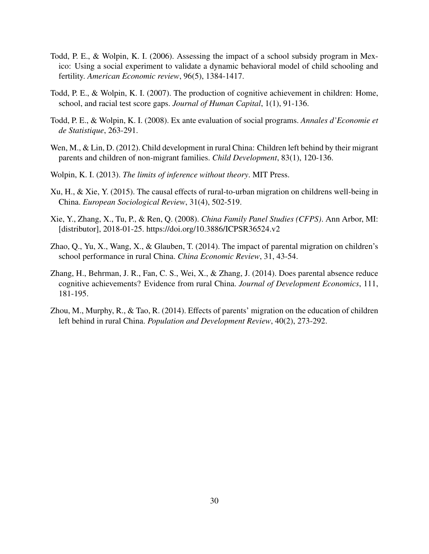- <span id="page-29-9"></span>Todd, P. E., & Wolpin, K. I. (2006). Assessing the impact of a school subsidy program in Mexico: Using a social experiment to validate a dynamic behavioral model of child schooling and fertility. *American Economic review*, 96(5), 1384-1417.
- <span id="page-29-8"></span>Todd, P. E., & Wolpin, K. I. (2007). The production of cognitive achievement in children: Home, school, and racial test score gaps. *Journal of Human Capital*, 1(1), 91-136.
- <span id="page-29-5"></span>Todd, P. E., & Wolpin, K. I. (2008). Ex ante evaluation of social programs. *Annales d'Economie et de Statistique*, 263-291.
- <span id="page-29-1"></span>Wen, M., & Lin, D. (2012). Child development in rural China: Children left behind by their migrant parents and children of non-migrant families. *Child Development*, 83(1), 120-136.
- <span id="page-29-6"></span>Wolpin, K. I. (2013). *The limits of inference without theory*. MIT Press.
- <span id="page-29-0"></span>Xu, H., & Xie, Y. (2015). The causal effects of rural-to-urban migration on childrens well-being in China. *European Sociological Review*, 31(4), 502-519.
- <span id="page-29-7"></span>Xie, Y., Zhang, X., Tu, P., & Ren, Q. (2008). *China Family Panel Studies (CFPS)*. Ann Arbor, MI: [distributor], 2018-01-25. https://doi.org/10.3886/ICPSR36524.v2
- <span id="page-29-3"></span>Zhao, Q., Yu, X., Wang, X., & Glauben, T. (2014). The impact of parental migration on children's school performance in rural China. *China Economic Review*, 31, 43-54.
- <span id="page-29-2"></span>Zhang, H., Behrman, J. R., Fan, C. S., Wei, X., & Zhang, J. (2014). Does parental absence reduce cognitive achievements? Evidence from rural China. *Journal of Development Economics*, 111, 181-195.
- <span id="page-29-4"></span>Zhou, M., Murphy, R., & Tao, R. (2014). Effects of parents' migration on the education of children left behind in rural China. *Population and Development Review*, 40(2), 273-292.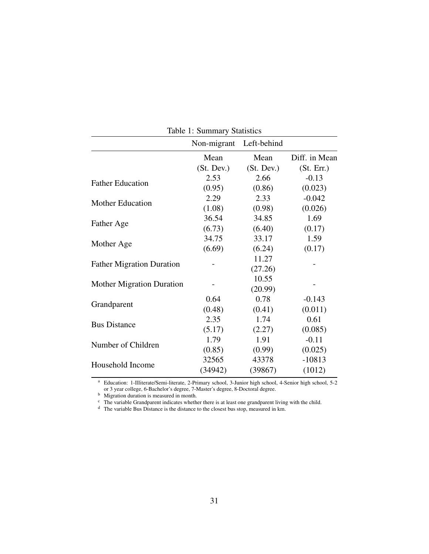| Table 1: Summary Statistics      |             |             |               |
|----------------------------------|-------------|-------------|---------------|
|                                  | Non-migrant | Left-behind |               |
|                                  | Mean        | Mean        | Diff. in Mean |
|                                  | (St. Dev.)  | (St. Dev.)  | (St. Err.)    |
| <b>Father Education</b>          | 2.53        | 2.66        | $-0.13$       |
|                                  | (0.95)      | (0.86)      | (0.023)       |
| <b>Mother Education</b>          | 2.29        | 2.33        | $-0.042$      |
|                                  | (1.08)      | (0.98)      | (0.026)       |
|                                  | 36.54       | 34.85       | 1.69          |
| Father Age                       | (6.73)      | (6.40)      | (0.17)        |
|                                  | 34.75       | 33.17       | 1.59          |
| Mother Age                       | (6.69)      | (6.24)      | (0.17)        |
|                                  |             | 11.27       |               |
| <b>Father Migration Duration</b> |             | (27.26)     |               |
|                                  |             | 10.55       |               |
| <b>Mother Migration Duration</b> |             | (20.99)     |               |
|                                  | 0.64        | 0.78        | $-0.143$      |
| Grandparent                      | (0.48)      | (0.41)      | (0.011)       |
| <b>Bus Distance</b>              | 2.35        | 1.74        | 0.61          |
|                                  | (5.17)      | (2.27)      | (0.085)       |
| Number of Children               | 1.79        | 1.91        | $-0.11$       |
|                                  | (0.85)      | (0.99)      | (0.025)       |
|                                  | 32565       | 43378       | $-10813$      |
| Household Income                 | (34942)     | (39867)     | (1012)        |
|                                  |             |             |               |

<span id="page-30-0"></span>Table 1: Summary Statistic

<sup>a</sup> Education: 1-Illiterate/Semi-literate, 2-Primary school, 3-Junior high school, 4-Senior high school, 5-2 or 3 year college, 6-Bachelor's degree, 7-Master's degree, 8-Doctoral degree.

<sup>b</sup> Migration duration is measured in month.

<sup>c</sup> The variable Grandparent indicates whether there is at least one grandparent living with the child.

<sup>d</sup> The variable Bus Distance is the distance to the closest bus stop, measured in km.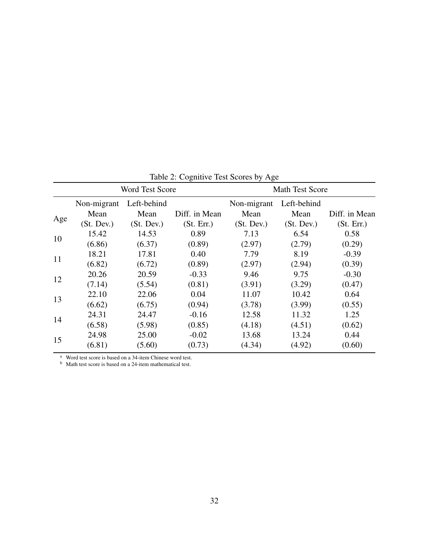|     | <b>Word Test Score</b> |             |               | <b>Math Test Score</b> |             |               |
|-----|------------------------|-------------|---------------|------------------------|-------------|---------------|
|     | Non-migrant            | Left-behind |               | Non-migrant            | Left-behind |               |
|     | Mean                   | Mean        | Diff. in Mean | Mean                   | Mean        | Diff. in Mean |
| Age | (St. Dev.)             | (St. Dev.)  | (St. Err.)    | (St. Dev.)             | (St. Dev.)  | (St. Err.)    |
| 10  | 15.42                  | 14.53       | 0.89          | 7.13                   | 6.54        | 0.58          |
|     | (6.86)                 | (6.37)      | (0.89)        | (2.97)                 | (2.79)      | (0.29)        |
|     | 18.21                  | 17.81       | 0.40          | 7.79                   | 8.19        | $-0.39$       |
| 11  | (6.82)                 | (6.72)      | (0.89)        | (2.97)                 | (2.94)      | (0.39)        |
| 12  | 20.26                  | 20.59       | $-0.33$       | 9.46                   | 9.75        | $-0.30$       |
|     | (7.14)                 | (5.54)      | (0.81)        | (3.91)                 | (3.29)      | (0.47)        |
| 13  | 22.10                  | 22.06       | 0.04          | 11.07                  | 10.42       | 0.64          |
|     | (6.62)                 | (6.75)      | (0.94)        | (3.78)                 | (3.99)      | (0.55)        |
|     | 24.31                  | 24.47       | $-0.16$       | 12.58                  | 11.32       | 1.25          |
| 14  | (6.58)                 | (5.98)      | (0.85)        | (4.18)                 | (4.51)      | (0.62)        |
|     | 24.98                  | 25.00       | $-0.02$       | 13.68                  | 13.24       | 0.44          |
| 15  | (6.81)                 | (5.60)      | (0.73)        | (4.34)                 | (4.92)      | (0.60)        |

<span id="page-31-0"></span>Table 2: Cognitive Test Scores by Age

<sup>a</sup> Word test score is based on a 34-item Chinese word test.

<sup>b</sup> Math test score is based on a 24-item mathematical test.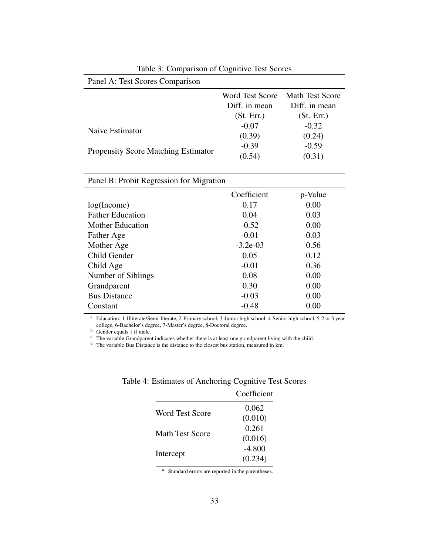| Panel A: Test Scores Comparison            |                        |                        |
|--------------------------------------------|------------------------|------------------------|
|                                            | <b>Word Test Score</b> | <b>Math Test Score</b> |
|                                            | Diff. in mean          | Diff. in mean          |
|                                            | (St. Err.)             | (St. Err.)             |
| Naive Estimator                            | $-0.07$                | $-0.32$                |
|                                            | (0.39)                 | (0.24)                 |
|                                            | $-0.39$                | $-0.59$                |
| <b>Propensity Score Matching Estimator</b> | (0.54)                 | (0.31)                 |

<span id="page-32-0"></span>Table 3: Comparison of Cognitive Test Scores

### Panel B: Probit Regression for Migration

|                         | Coefficient | p-Value |
|-------------------------|-------------|---------|
| log(Income)             | 0.17        | 0.00    |
| <b>Father Education</b> | 0.04        | 0.03    |
| <b>Mother Education</b> | $-0.52$     | 0.00    |
| Father Age              | $-0.01$     | 0.03    |
| Mother Age              | $-3.2e-03$  | 0.56    |
| Child Gender            | 0.05        | 0.12    |
| Child Age               | $-0.01$     | 0.36    |
| Number of Siblings      | 0.08        | 0.00    |
| Grandparent             | 0.30        | 0.00    |
| <b>Bus Distance</b>     | $-0.03$     | 0.00    |
| Constant                | $-0.48$     | 0.00    |

<sup>a</sup> Education: 1-Illiterate/Semi-literate, 2-Primary school, 3-Junior high school, 4-Senior high school, 5-2 or 3 year college, 6-Bachelor's degree, 7-Master's degree, 8-Doctoral degree.

b Gender equals 1 if male.

<sup>c</sup> The variable Grandparent indicates whether there is at least one grandparent living with the child.

<sup>d</sup> The variable Bus Distance is the distance to the closest bus station, measured in km.

<span id="page-32-1"></span>

|                 | Coefficient |
|-----------------|-------------|
| Word Test Score | 0.062       |
|                 | (0.010)     |
| Math Test Score | 0.261       |
|                 | (0.016)     |
| Intercept       | $-4.800$    |
|                 | (0.234)     |

Table 4: Estimates of Anchoring Cognitive Test Scores

<sup>a</sup> Standard errors are reported in the parentheses.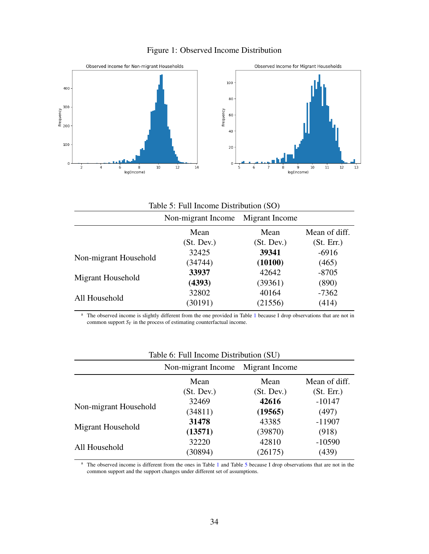<span id="page-33-0"></span>



<span id="page-33-1"></span>

| Table 5: Full Income Distribution (SO) |                                      |            |               |  |  |
|----------------------------------------|--------------------------------------|------------|---------------|--|--|
|                                        | Migrant Income<br>Non-migrant Income |            |               |  |  |
|                                        | Mean                                 | Mean       | Mean of diff. |  |  |
|                                        | (St. Dev.)                           | (St. Dev.) | (St. Err.)    |  |  |
| Non-migrant Household                  | 32425                                | 39341      | $-6916$       |  |  |
|                                        | (34744)                              | (10100)    | (465)         |  |  |
|                                        | 33937                                | 42642      | $-8705$       |  |  |
| Migrant Household                      | (4393)                               | (39361)    | (890)         |  |  |
|                                        | 32802                                | 40164      | $-7362$       |  |  |
| All Household                          | (30191)                              | (21556)    | (414)         |  |  |

<sup>a</sup> The observed income is slightly different from the one provided in Table [1](#page-30-0) because I drop observations that are not in common support  $S_Y$  in the process of estimating counterfactual income.

| $14000$ $0.1$ and income Distribution (SO) |                                   |            |               |  |
|--------------------------------------------|-----------------------------------|------------|---------------|--|
|                                            | Non-migrant Income Migrant Income |            |               |  |
|                                            | Mean                              | Mean       | Mean of diff. |  |
|                                            | (St. Dev.)                        | (St. Dev.) | (St. Err.)    |  |
| Non-migrant Household                      | 32469                             | 42616      | $-10147$      |  |
|                                            | (34811)                           | (19565)    | (497)         |  |
| Migrant Household                          | 31478                             | 43385      | $-11907$      |  |
|                                            | (13571)                           | (39870)    | (918)         |  |
|                                            | 32220                             | 42810      | $-10590$      |  |
| All Household                              | (30894)                           | (26175)    | (439)         |  |
|                                            |                                   |            |               |  |

<span id="page-33-2"></span>

|  |  |  | Table 6: Full Income Distribution (SU) |  |
|--|--|--|----------------------------------------|--|
|--|--|--|----------------------------------------|--|

<sup>a</sup> The observed income is different from the ones in Table [1](#page-30-0) and Table [5](#page-33-1) because I drop observations that are not in the common support and the support changes under different set of assumptions.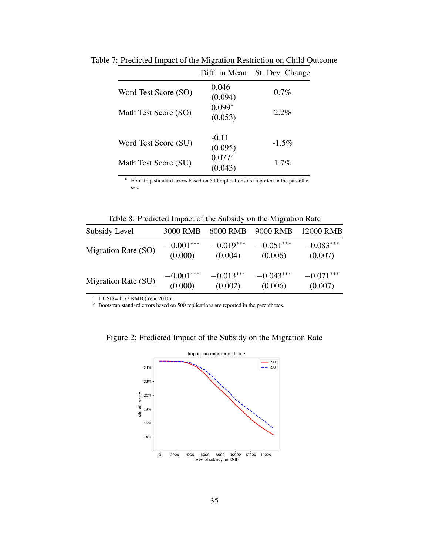<span id="page-34-0"></span>

|                      | Diff. in Mean       | St. Dev. Change |
|----------------------|---------------------|-----------------|
| Word Test Score (SO) | 0.046<br>(0.094)    | $0.7\%$         |
| Math Test Score (SO) | $0.099*$<br>(0.053) | $2.2\%$         |
| Word Test Score (SU) | $-0.11$<br>(0.095)  | $-1.5\%$        |
| Math Test Score (SU) | $0.077*$<br>(0.043) | $1.7\%$         |

Table 7: Predicted Impact of the Migration Restriction on Child Outcome

<sup>a</sup> Bootstrap standard errors based on 500 replications are reported in the parentheses.

<span id="page-34-1"></span>Table 8: Predicted Impact of the Subsidy on the Migration Rate

| Subsidy Level       | 3000 RMB    | <b>6000 RMB</b> | 9000 RMB    | 12000 RMB   |
|---------------------|-------------|-----------------|-------------|-------------|
| Migration Rate (SO) | $-0.001***$ | $-0.019***$     | $-0.051***$ | $-0.083***$ |
|                     | (0.000)     | (0.004)         | (0.006)     | (0.007)     |
| Migration Rate (SU) | $-0.001***$ | $-0.013***$     | $-0.043***$ | $-0.071***$ |
|                     | (0.000)     | (0.002)         | (0.006)     | (0.007)     |

<sup>a</sup> 1 USD = 6.77 RMB (Year 2010).

b Bootstrap standard errors based on 500 replications are reported in the parentheses.

<span id="page-34-2"></span>

Figure 2: Predicted Impact of the Subsidy on the Migration Rate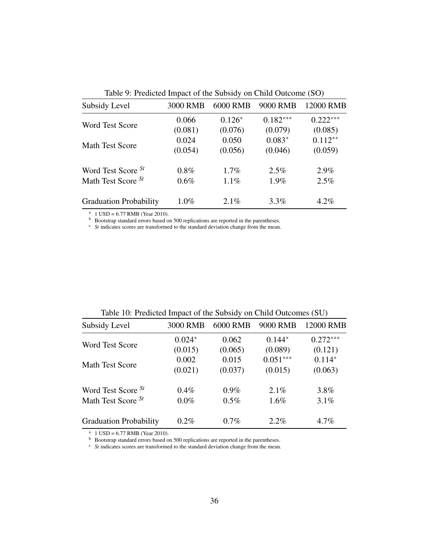| Subsidy Level                 | 3000 RMB | 6000 RMB | 9000 RMB   | 12000 RMB  |
|-------------------------------|----------|----------|------------|------------|
|                               | 0.066    | $0.126*$ | $0.182***$ | $0.222***$ |
| <b>Word Test Score</b>        | (0.081)  | (0.076)  | (0.079)    | (0.085)    |
|                               | 0.024    | 0.050    | $0.083*$   | $0.112**$  |
| <b>Math Test Score</b>        | (0.054)  | (0.056)  | (0.046)    | (0.059)    |
| Word Test Score St            | $0.8\%$  | $1.7\%$  | $2.5\%$    | 2.9%       |
| Math Test Score $St$          | $0.6\%$  | $1.1\%$  | 1.9%       | 2.5%       |
| <b>Graduation Probability</b> | $1.0\%$  | 2.1%     | $3.3\%$    | $4.2\%$    |

<span id="page-35-0"></span>Table 9: Predicted Impact of the Subsidy on Child Outcome (SO)

<sup>a</sup> 1 USD = 6.77 RMB (Year 2010).

**b** Bootstrap standard errors based on 500 replications are reported in the parentheses.

<sup>c</sup> *St* indicates scores are transformed to the standard deviation change from the mean.

| Table TV. I redicted impact of the Subsidy on Child Outcomes (SO) |                     |                  |                       |                       |
|-------------------------------------------------------------------|---------------------|------------------|-----------------------|-----------------------|
| Subsidy Level                                                     | 3000 RMB            | <b>6000 RMB</b>  | 9000 RMB              | 12000 RMB             |
| <b>Word Test Score</b>                                            | $0.024*$<br>(0.015) | 0.062<br>(0.065) | $0.144*$<br>(0.089)   | $0.272***$<br>(0.121) |
| <b>Math Test Score</b>                                            | 0.002<br>(0.021)    | 0.015<br>(0.037) | $0.051***$<br>(0.015) | $0.114*$<br>(0.063)   |
| Word Test Score St                                                | $0.4\%$             | $0.9\%$          | 2.1%                  | 3.8%                  |
| Math Test Score St                                                | $0.0\%$             | $0.5\%$          | $1.6\%$               | 3.1%                  |
| <b>Graduation Probability</b>                                     | 0.2%                | 0.7%             | $2.2\%$               | 4.7%                  |

<span id="page-35-1"></span>Table 10: Predicted Impact of the Subsidy on Child Outcomes (SU)

<sup>a</sup> 1 USD = 6.77 RMB (Year 2010).

<sup>b</sup> Bootstrap standard errors based on 500 replications are reported in the parentheses.

<sup>c</sup> *St* indicates scores are transformed to the standard deviation change from the mean.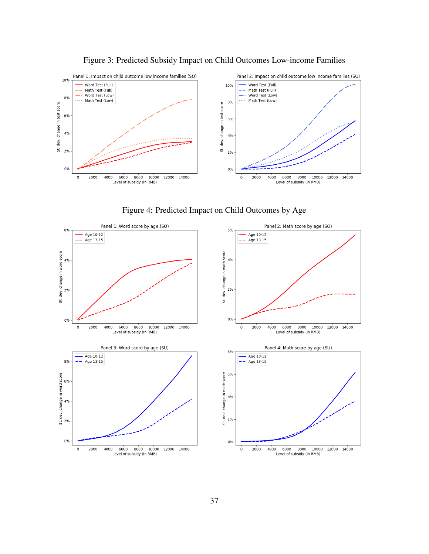

<span id="page-36-0"></span>Figure 3: Predicted Subsidy Impact on Child Outcomes Low-income Families

<span id="page-36-1"></span>

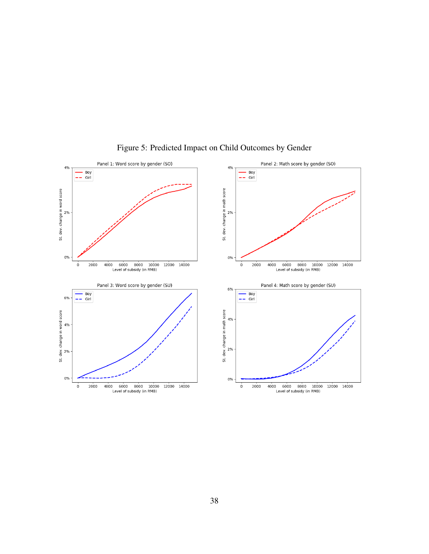

<span id="page-37-0"></span>Figure 5: Predicted Impact on Child Outcomes by Gender